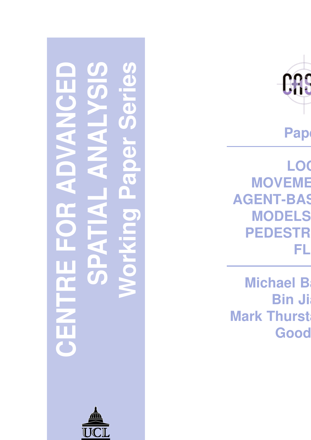



Pape

LOC **MOVEME AGENT-BAS MODELS PEDESTR FLOW**

**Michael Ba Bin Jiang Mark Thurst Good** 

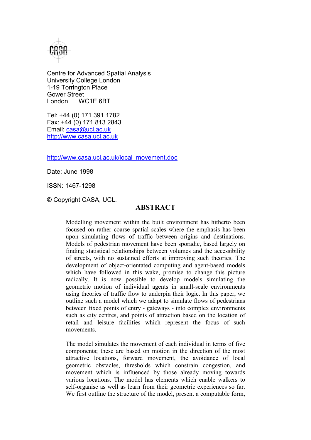

Centre for Advanced Spatial Analysis University College London 1-19 Torrington Place Gower Street London WC1E 6BT

Tel: +44 (0) 171 391 1782 Fax: +44 (0) 171 813 2843 Email: casa@ucl.ac.uk http://www.casa.ucl.ac.uk

http://www.casa.ucl.ac.uk/local\_movement.doc

Date: June 1998

ISSN: 1467-1298

© Copyright CASA, UCL.

## ABSTRACT

Modelling movement within the built environment has hitherto been focused on rather coarse spatial scales where the emphasis has been upon simulating flows of traffic between origins and destinations. Models of pedestrian movement have been sporadic, based largely on finding statistical relationships between volumes and the accessibility of streets, with no sustained efforts at improving such theories. The development of object-orientated computing and agent-based models which have followed in this wake, promise to change this picture radically. It is now possible to develop models simulating the geometric motion of individual agents in small-scale environments using theories of traffic flow to underpin their logic. In this paper, we outline such a model which we adapt to simulate flows of pedestrians between fixed points of entry - gateways - into complex environments such as city centres, and points of attraction based on the location of retail and leisure facilities which represent the focus of such movements.

The model simulates the movement of each individual in terms of five components; these are based on motion in the direction of the most attractive locations, forward movement, the avoidance of local geometric obstacles, thresholds which constrain congestion, and movement which is influenced by those already moving towards various locations. The model has elements which enable walkers to self-organise as well as learn from their geometric experiences so far. We first outline the structure of the model, present a computable form,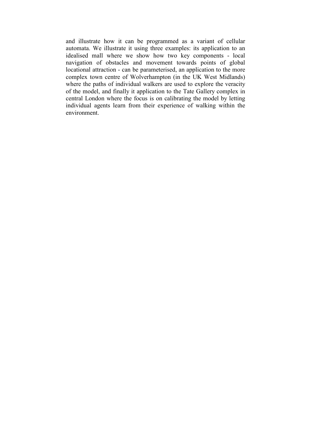and illustrate how it can be programmed as a variant of cellular automata. We illustrate it using three examples: its application to an idealised mall where we show how two key components - local navigation of obstacles and movement towards points of global locational attraction - can be parameterised, an application to the more complex town centre of Wolverhampton (in the UK West Midlands) where the paths of individual walkers are used to explore the veracity of the model, and finally it application to the Tate Gallery complex in central London where the focus is on calibrating the model by letting individual agents learn from their experience of walking within the environment.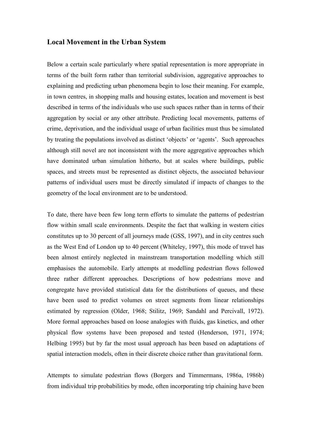#### Local Movement in the Urban System

Below a certain scale particularly where spatial representation is more appropriate in terms of the built form rather than territorial subdivision, aggregative approaches to explaining and predicting urban phenomena begin to lose their meaning. For example, in town centres, in shopping malls and housing estates, location and movement is best described in terms of the individuals who use such spaces rather than in terms of their aggregation by social or any other attribute. Predicting local movements, patterns of crime, deprivation, and the individual usage of urban facilities must thus be simulated by treating the populations involved as distinct 'objects' or 'agents'. Such approaches although still novel are not inconsistent with the more aggregative approaches which have dominated urban simulation hitherto, but at scales where buildings, public spaces, and streets must be represented as distinct objects, the associated behaviour patterns of individual users must be directly simulated if impacts of changes to the geometry of the local environment are to be understood.

To date, there have been few long term efforts to simulate the patterns of pedestrian flow within small scale environments. Despite the fact that walking in western cities constitutes up to 30 percent of all journeys made (GSS, 1997), and in city centres such as the West End of London up to 40 percent (Whiteley, 1997), this mode of travel has been almost entirely neglected in mainstream transportation modelling which still emphasises the automobile. Early attempts at modelling pedestrian flows followed three rather different approaches. Descriptions of how pedestrians move and congregate have provided statistical data for the distributions of queues, and these have been used to predict volumes on street segments from linear relationships estimated by regression (Older, 1968; Stilitz, 1969; Sandahl and Percivall, 1972). More formal approaches based on loose analogies with fluids, gas kinetics, and other physical flow systems have been proposed and tested (Henderson, 1971, 1974; Helbing 1995) but by far the most usual approach has been based on adaptations of spatial interaction models, often in their discrete choice rather than gravitational form.

Attempts to simulate pedestrian flows (Borgers and Timmermans, 1986a, 1986b) from individual trip probabilities by mode, often incorporating trip chaining have been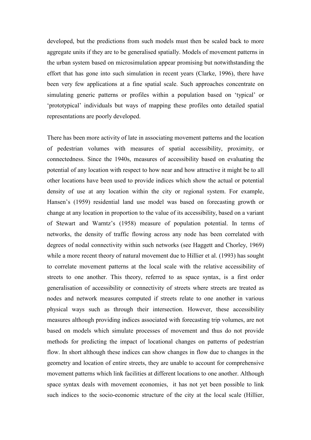developed, but the predictions from such models must then be scaled back to more aggregate units if they are to be generalised spatially. Models of movement patterns in the urban system based on microsimulation appear promising but notwithstanding the effort that has gone into such simulation in recent years (Clarke, 1996), there have been very few applications at a fine spatial scale. Such approaches concentrate on simulating generic patterns or profiles within a population based on 'typical' or 'prototypical' individuals but ways of mapping these profiles onto detailed spatial representations are poorly developed.

There has been more activity of late in associating movement patterns and the location of pedestrian volumes with measures of spatial accessibility, proximity, or connectedness. Since the 1940s, measures of accessibility based on evaluating the potential of any location with respect to how near and how attractive it might be to all other locations have been used to provide indices which show the actual or potential density of use at any location within the city or regional system. For example, Hansen's (1959) residential land use model was based on forecasting growth or change at any location in proportion to the value of its accessibility, based on a variant of Stewart and Warntz's (1958) measure of population potential. In terms of networks, the density of traffic flowing across any node has been correlated with degrees of nodal connectivity within such networks (see Haggett and Chorley, 1969) while a more recent theory of natural movement due to Hillier et al. (1993) has sought to correlate movement patterns at the local scale with the relative accessibility of streets to one another. This theory, referred to as space syntax, is a first order generalisation of accessibility or connectivity of streets where streets are treated as nodes and network measures computed if streets relate to one another in various physical ways such as through their intersection. However, these accessibility measures although providing indices associated with forecasting trip volumes, are not based on models which simulate processes of movement and thus do not provide methods for predicting the impact of locational changes on patterns of pedestrian flow. In short although these indices can show changes in flow due to changes in the geometry and location of entire streets, they are unable to account for comprehensive movement patterns which link facilities at different locations to one another. Although space syntax deals with movement economies, it has not yet been possible to link such indices to the socio-economic structure of the city at the local scale (Hillier,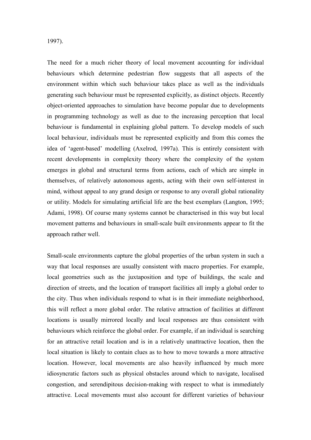1997).

The need for a much richer theory of local movement accounting for individual behaviours which determine pedestrian flow suggests that all aspects of the environment within which such behaviour takes place as well as the individuals generating such behaviour must be represented explicitly, as distinct objects. Recently object-oriented approaches to simulation have become popular due to developments in programming technology as well as due to the increasing perception that local behaviour is fundamental in explaining global pattern. To develop models of such local behaviour, individuals must be represented explicitly and from this comes the idea of 'agent-based' modelling (Axelrod, 1997a). This is entirely consistent with recent developments in complexity theory where the complexity of the system emerges in global and structural terms from actions, each of which are simple in themselves, of relatively autonomous agents, acting with their own self-interest in mind, without appeal to any grand design or response to any overall global rationality or utility. Models for simulating artificial life are the best exemplars (Langton, 1995; Adami, 1998). Of course many systems cannot be characterised in this way but local movement patterns and behaviours in small-scale built environments appear to fit the approach rather well.

Small-scale environments capture the global properties of the urban system in such a way that local responses are usually consistent with macro properties. For example, local geometries such as the juxtaposition and type of buildings, the scale and direction of streets, and the location of transport facilities all imply a global order to the city. Thus when individuals respond to what is in their immediate neighborhood, this will reflect a more global order. The relative attraction of facilities at different locations is usually mirrored locally and local responses are thus consistent with behaviours which reinforce the global order. For example, if an individual is searching for an attractive retail location and is in a relatively unattractive location, then the local situation is likely to contain clues as to how to move towards a more attractive location. However, local movements are also heavily influenced by much more idiosyncratic factors such as physical obstacles around which to navigate, localised congestion, and serendipitous decision-making with respect to what is immediately attractive. Local movements must also account for different varieties of behaviour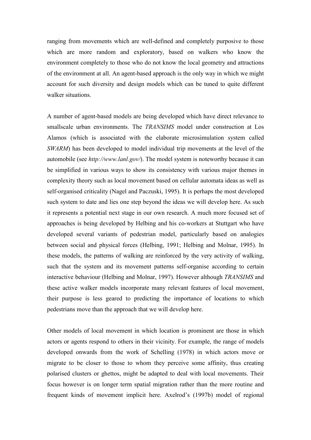ranging from movements which are well-defined and completely purposive to those which are more random and exploratory, based on walkers who know the environment completely to those who do not know the local geometry and attractions of the environment at all. An agent-based approach is the only way in which we might account for such diversity and design models which can be tuned to quite different walker situations.

A number of agent-based models are being developed which have direct relevance to smallscale urban environments. The TRANSIMS model under construction at Los Alamos (which is associated with the elaborate microsimulation system called SWARM) has been developed to model individual trip movements at the level of the automobile (see http://www.lanl.gov/). The model system is noteworthy because it can be simplified in various ways to show its consistency with various major themes in complexity theory such as local movement based on cellular automata ideas as well as self-organised criticality (Nagel and Paczuski, 1995). It is perhaps the most developed such system to date and lies one step beyond the ideas we will develop here. As such it represents a potential next stage in our own research. A much more focused set of approaches is being developed by Helbing and his co-workers at Stuttgart who have developed several variants of pedestrian model, particularly based on analogies between social and physical forces (Helbing, 1991; Helbing and Molnar, 1995). In these models, the patterns of walking are reinforced by the very activity of walking, such that the system and its movement patterns self-organise according to certain interactive behaviour (Helbing and Molnar, 1997). However although TRANSIMS and these active walker models incorporate many relevant features of local movement, their purpose is less geared to predicting the importance of locations to which pedestrians move than the approach that we will develop here.

Other models of local movement in which location is prominent are those in which actors or agents respond to others in their vicinity. For example, the range of models developed onwards from the work of Schelling (1978) in which actors move or migrate to be closer to those to whom they perceive some affinity, thus creating polarised clusters or ghettos, might be adapted to deal with local movements. Their focus however is on longer term spatial migration rather than the more routine and frequent kinds of movement implicit here. Axelrod's (1997b) model of regional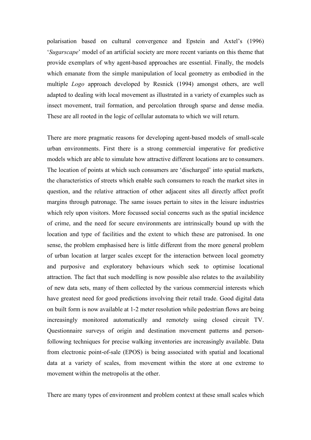polarisation based on cultural convergence and Epstein and Axtel's (1996) 'Sugarscape' model of an artificial society are more recent variants on this theme that provide exemplars of why agent-based approaches are essential. Finally, the models which emanate from the simple manipulation of local geometry as embodied in the multiple Logo approach developed by Resnick (1994) amongst others, are well adapted to dealing with local movement as illustrated in a variety of examples such as insect movement, trail formation, and percolation through sparse and dense media. These are all rooted in the logic of cellular automata to which we will return.

There are more pragmatic reasons for developing agent-based models of small-scale urban environments. First there is a strong commercial imperative for predictive models which are able to simulate how attractive different locations are to consumers. The location of points at which such consumers are 'discharged' into spatial markets, the characteristics of streets which enable such consumers to reach the market sites in question, and the relative attraction of other adjacent sites all directly affect profit margins through patronage. The same issues pertain to sites in the leisure industries which rely upon visitors. More focussed social concerns such as the spatial incidence of crime, and the need for secure environments are intrinsically bound up with the location and type of facilities and the extent to which these are patronised. In one sense, the problem emphasised here is little different from the more general problem of urban location at larger scales except for the interaction between local geometry and purposive and exploratory behaviours which seek to optimise locational attraction. The fact that such modelling is now possible also relates to the availability of new data sets, many of them collected by the various commercial interests which have greatest need for good predictions involving their retail trade. Good digital data on built form is now available at 1-2 meter resolution while pedestrian flows are being increasingly monitored automatically and remotely using closed circuit TV. Questionnaire surveys of origin and destination movement patterns and personfollowing techniques for precise walking inventories are increasingly available. Data from electronic point-of-sale (EPOS) is being associated with spatial and locational data at a variety of scales, from movement within the store at one extreme to movement within the metropolis at the other.

There are many types of environment and problem context at these small scales which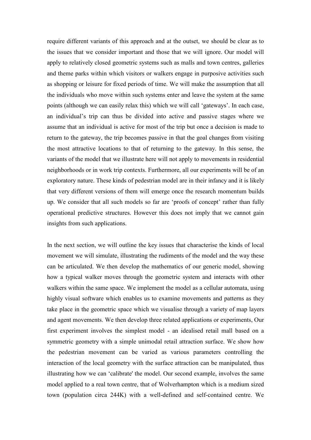require different variants of this approach and at the outset, we should be clear as to the issues that we consider important and those that we will ignore. Our model will apply to relatively closed geometric systems such as malls and town centres, galleries and theme parks within which visitors or walkers engage in purposive activities such as shopping or leisure for fixed periods of time. We will make the assumption that all the individuals who move within such systems enter and leave the system at the same points (although we can easily relax this) which we will call 'gateways'. In each case, an individual's trip can thus be divided into active and passive stages where we assume that an individual is active for most of the trip but once a decision is made to return to the gateway, the trip becomes passive in that the goal changes from visiting the most attractive locations to that of returning to the gateway. In this sense, the variants of the model that we illustrate here will not apply to movements in residential neighborhoods or in work trip contexts. Furthermore, all our experiments will be of an exploratory nature. These kinds of pedestrian model are in their infancy and it is likely that very different versions of them will emerge once the research momentum builds up. We consider that all such models so far are 'proofs of concept' rather than fully operational predictive structures. However this does not imply that we cannot gain insights from such applications.

In the next section, we will outline the key issues that characterise the kinds of local movement we will simulate, illustrating the rudiments of the model and the way these can be articulated. We then develop the mathematics of our generic model, showing how a typical walker moves through the geometric system and interacts with other walkers within the same space. We implement the model as a cellular automata, using highly visual software which enables us to examine movements and patterns as they take place in the geometric space which we visualise through a variety of map layers and agent movements. We then develop three related applications or experiments, Our first experiment involves the simplest model - an idealised retail mall based on a symmetric geometry with a simple unimodal retail attraction surface. We show how the pedestrian movement can be varied as various parameters controlling the interaction of the local geometry with the surface attraction can be manipulated, thus illustrating how we can 'calibrate' the model. Our second example, involves the same model applied to a real town centre, that of Wolverhampton which is a medium sized town (population circa 244K) with a well-defined and self-contained centre. We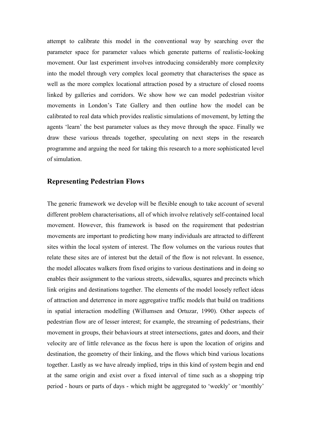attempt to calibrate this model in the conventional way by searching over the parameter space for parameter values which generate patterns of realistic-looking movement. Our last experiment involves introducing considerably more complexity into the model through very complex local geometry that characterises the space as well as the more complex locational attraction posed by a structure of closed rooms linked by galleries and corridors. We show how we can model pedestrian visitor movements in London's Tate Gallery and then outline how the model can be calibrated to real data which provides realistic simulations of movement, by letting the agents 'learn' the best parameter values as they move through the space. Finally we draw these various threads together, speculating on next steps in the research programme and arguing the need for taking this research to a more sophisticated level of simulation.

### Representing Pedestrian Flows

The generic framework we develop will be flexible enough to take account of several different problem characterisations, all of which involve relatively self-contained local movement. However, this framework is based on the requirement that pedestrian movements are important to predicting how many individuals are attracted to different sites within the local system of interest. The flow volumes on the various routes that relate these sites are of interest but the detail of the flow is not relevant. In essence, the model allocates walkers from fixed origins to various destinations and in doing so enables their assignment to the various streets, sidewalks, squares and precincts which link origins and destinations together. The elements of the model loosely reflect ideas of attraction and deterrence in more aggregative traffic models that build on traditions in spatial interaction modelling (Willumsen and Ortuzar, 1990). Other aspects of pedestrian flow are of lesser interest; for example, the streaming of pedestrians, their movement in groups, their behaviours at street intersections, gates and doors, and their velocity are of little relevance as the focus here is upon the location of origins and destination, the geometry of their linking, and the flows which bind various locations together. Lastly as we have already implied, trips in this kind of system begin and end at the same origin and exist over a fixed interval of time such as a shopping trip period - hours or parts of days - which might be aggregated to 'weekly' or 'monthly'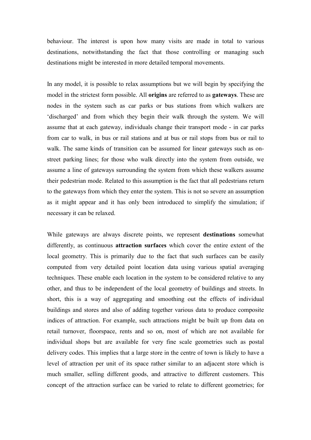behaviour. The interest is upon how many visits are made in total to various destinations, notwithstanding the fact that those controlling or managing such destinations might be interested in more detailed temporal movements.

In any model, it is possible to relax assumptions but we will begin by specifying the model in the strictest form possible. All origins are referred to as gateways. These are nodes in the system such as car parks or bus stations from which walkers are 'discharged' and from which they begin their walk through the system. We will assume that at each gateway, individuals change their transport mode - in car parks from car to walk, in bus or rail stations and at bus or rail stops from bus or rail to walk. The same kinds of transition can be assumed for linear gateways such as onstreet parking lines; for those who walk directly into the system from outside, we assume a line of gateways surrounding the system from which these walkers assume their pedestrian mode. Related to this assumption is the fact that all pedestrians return to the gateways from which they enter the system. This is not so severe an assumption as it might appear and it has only been introduced to simplify the simulation; if necessary it can be relaxed.

While gateways are always discrete points, we represent destinations somewhat differently, as continuous attraction surfaces which cover the entire extent of the local geometry. This is primarily due to the fact that such surfaces can be easily computed from very detailed point location data using various spatial averaging techniques. These enable each location in the system to be considered relative to any other, and thus to be independent of the local geometry of buildings and streets. In short, this is a way of aggregating and smoothing out the effects of individual buildings and stores and also of adding together various data to produce composite indices of attraction. For example, such attractions might be built up from data on retail turnover, floorspace, rents and so on, most of which are not available for individual shops but are available for very fine scale geometries such as postal delivery codes. This implies that a large store in the centre of town is likely to have a level of attraction per unit of its space rather similar to an adjacent store which is much smaller, selling different goods, and attractive to different customers. This concept of the attraction surface can be varied to relate to different geometries; for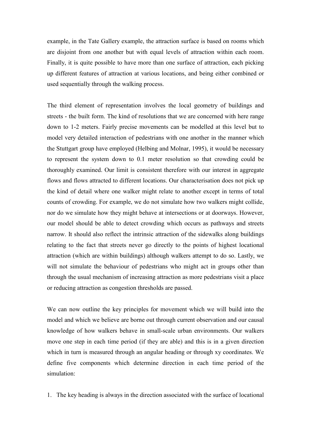example, in the Tate Gallery example, the attraction surface is based on rooms which are disjoint from one another but with equal levels of attraction within each room. Finally, it is quite possible to have more than one surface of attraction, each picking up different features of attraction at various locations, and being either combined or used sequentially through the walking process.

The third element of representation involves the local geometry of buildings and streets - the built form. The kind of resolutions that we are concerned with here range down to 1-2 meters. Fairly precise movements can be modelled at this level but to model very detailed interaction of pedestrians with one another in the manner which the Stuttgart group have employed (Helbing and Molnar, 1995), it would be necessary to represent the system down to 0.1 meter resolution so that crowding could be thoroughly examined. Our limit is consistent therefore with our interest in aggregate flows and flows attracted to different locations. Our characterisation does not pick up the kind of detail where one walker might relate to another except in terms of total counts of crowding. For example, we do not simulate how two walkers might collide, nor do we simulate how they might behave at intersections or at doorways. However, our model should be able to detect crowding which occurs as pathways and streets narrow. It should also reflect the intrinsic attraction of the sidewalks along buildings relating to the fact that streets never go directly to the points of highest locational attraction (which are within buildings) although walkers attempt to do so. Lastly, we will not simulate the behaviour of pedestrians who might act in groups other than through the usual mechanism of increasing attraction as more pedestrians visit a place or reducing attraction as congestion thresholds are passed.

We can now outline the key principles for movement which we will build into the model and which we believe are borne out through current observation and our causal knowledge of how walkers behave in small-scale urban environments. Our walkers move one step in each time period (if they are able) and this is in a given direction which in turn is measured through an angular heading or through xy coordinates. We define five components which determine direction in each time period of the simulation:

1. The key heading is always in the direction associated with the surface of locational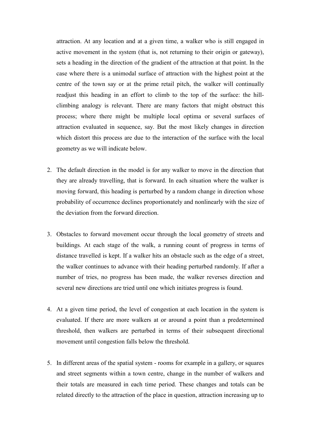attraction. At any location and at a given time, a walker who is still engaged in active movement in the system (that is, not returning to their origin or gateway), sets a heading in the direction of the gradient of the attraction at that point. In the case where there is a unimodal surface of attraction with the highest point at the centre of the town say or at the prime retail pitch, the walker will continually readjust this heading in an effort to climb to the top of the surface: the hillclimbing analogy is relevant. There are many factors that might obstruct this process; where there might be multiple local optima or several surfaces of attraction evaluated in sequence, say. But the most likely changes in direction which distort this process are due to the interaction of the surface with the local geometry as we will indicate below.

- 2. The default direction in the model is for any walker to move in the direction that they are already travelling, that is forward. In each situation where the walker is moving forward, this heading is perturbed by a random change in direction whose probability of occurrence declines proportionately and nonlinearly with the size of the deviation from the forward direction.
- 3. Obstacles to forward movement occur through the local geometry of streets and buildings. At each stage of the walk, a running count of progress in terms of distance travelled is kept. If a walker hits an obstacle such as the edge of a street, the walker continues to advance with their heading perturbed randomly. If after a number of tries, no progress has been made, the walker reverses direction and several new directions are tried until one which initiates progress is found.
- 4. At a given time period, the level of congestion at each location in the system is evaluated. If there are more walkers at or around a point than a predetermined threshold, then walkers are perturbed in terms of their subsequent directional movement until congestion falls below the threshold.
- 5. In different areas of the spatial system rooms for example in a gallery, or squares and street segments within a town centre, change in the number of walkers and their totals are measured in each time period. These changes and totals can be related directly to the attraction of the place in question, attraction increasing up to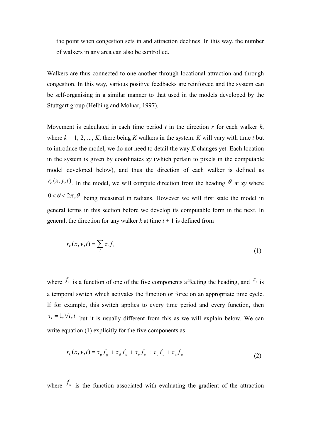the point when congestion sets in and attraction declines. In this way, the number of walkers in any area can also be controlled.

Walkers are thus connected to one another through locational attraction and through congestion. In this way, various positive feedbacks are reinforced and the system can be self-organising in a similar manner to that used in the models developed by the Stuttgart group (Helbing and Molnar, 1997).

Movement is calculated in each time period  $t$  in the direction  $r$  for each walker  $k$ , where  $k = 1, 2, ..., K$ , there being K walkers in the system. K will vary with time t but to introduce the model, we do not need to detail the way K changes yet. Each location in the system is given by coordinates  $xy$  (which pertain to pixels in the computable model developed below), and thus the direction of each walker is defined as  $r_k(x, y, t)$ . In the model, we will compute direction from the heading  $\theta$  at xy where  $0 < \theta < 2\pi, \theta$  being measured in radians. However we will first state the model in general terms in this section before we develop its computable form in the next. In general, the direction for any walker k at time  $t + 1$  is defined from

$$
r_k(x, y, t) = \sum_i \tau_i f_i \tag{1}
$$

where  $f_i$  is a function of one of the five components affecting the heading, and  $\tau_i$  is a temporal switch which activates the function or force on an appropriate time cycle. If for example, this switch applies to every time period and every function, then  $\tau_i = 1, \forall i, t$  but it is usually different from this as we will explain below. We can write equation (1) explicitly for the five components as

$$
r_k(x, y, t) = \tau_g f_g + \tau_d f_d + \tau_b f_b + \tau_c f_c + \tau_a f_a
$$
\n(2)

where  $f_s$  is the function associated with evaluating the gradient of the attraction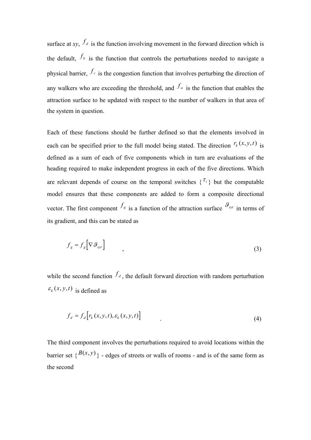surface at xy,  $f_d$  is the function involving movement in the forward direction which is the default,  $f<sub>b</sub>$  is the function that controls the perturbations needed to navigate a physical barrier,  $f_c$  is the congestion function that involves perturbing the direction of any walkers who are exceeding the threshold, and  $f_a$  is the function that enables the attraction surface to be updated with respect to the number of walkers in that area of the system in question.

Each of these functions should be further defined so that the elements involved in each can be specified prior to the full model being stated. The direction  $r_k(x, y, t)$  is defined as a sum of each of five components which in turn are evaluations of the heading required to make independent progress in each of the five directions. Which are relevant depends of course on the temporal switches  $\{\tau_i\}$  but the computable model ensures that these components are added to form a composite directional vector. The first component  $f_g$  is a function of the attraction surface  $\mathcal{G}_{\text{xyt}}$  in terms of its gradient, and this can be stated as

$$
f_g = f_g \left[ \nabla \mathcal{G}_{xyt} \right] \tag{3}
$$

while the second function  $f_d$ , the default forward direction with random perturbation  $\varepsilon_k(x, y, t)$  is defined as

$$
f_d = f_d \big[ r_k(x, y, t), \varepsilon_k(x, y, t) \big] \tag{4}
$$

The third component involves the perturbations required to avoid locations within the barrier set  $\{B(x,y)\}\$  - edges of streets or walls of rooms - and is of the same form as the second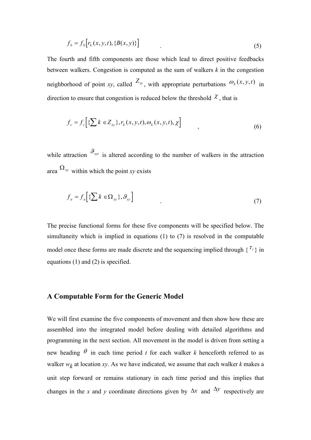$$
f_b = f_b \big[ r_k(x, y, t), \{B(x, y)\} \big] \tag{5}
$$

The fourth and fifth components are those which lead to direct positive feedbacks between walkers. Congestion is computed as the sum of walkers  $k$  in the congestion neighborhood of point xy, called  $Z_{xy}$ , with appropriate perturbations  $\omega_k(x, y, t)$  in direction to ensure that congestion is reduced below the threshold  $\mathcal{X}$ , that is

$$
f_c = f_c \Big[ \{ \sum k \in Z_{xy} \}, r_k(x, y, t), \omega_k(x, y, t), \chi \Big]
$$
 (6)

while attraction  $\mathcal{S}_{\text{xyt}}$  is altered according to the number of walkers in the attraction area  $\Omega_{xy}$  within which the point xy exists

$$
f_a = f_a \left[ \{ \sum k \in \Omega_{xy} \}, \mathcal{G}_{xy} \right] \tag{7}
$$

The precise functional forms for these five components will be specified below. The simultaneity which is implied in equations (1) to (7) is resolved in the computable model once these forms are made discrete and the sequencing implied through  $\{ \tau_i \}$  in equations (1) and (2) is specified.

## A Computable Form for the Generic Model

We will first examine the five components of movement and then show how these are assembled into the integrated model before dealing with detailed algorithms and programming in the next section. All movement in the model is driven from setting a new heading  $\theta$  in each time period t for each walker k henceforth referred to as walker  $w_k$  at location xy. As we have indicated, we assume that each walker k makes a unit step forward or remains stationary in each time period and this implies that changes in the x and y coordinate directions given by  $\Delta x$  and  $\Delta y$  respectively are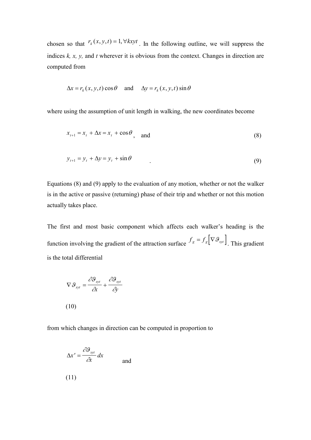chosen so that  $r_k(x, y, t) = 1, \forall kxyt$ . In the following outline, we will suppress the indices  $k$ ,  $x$ ,  $y$ , and  $t$  wherever it is obvious from the context. Changes in direction are computed from

$$
\Delta x = r_k(x, y, t) \cos \theta \quad \text{and} \quad \Delta y = r_k(x, y, t) \sin \theta
$$

where using the assumption of unit length in walking, the new coordinates become

$$
x_{t+1} = x_t + \Delta x = x_t + \cos \theta, \quad \text{and} \tag{8}
$$

$$
y_{t+1} = y_t + \Delta y = y_t + \sin \theta \tag{9}
$$

Equations (8) and (9) apply to the evaluation of any motion, whether or not the walker is in the active or passive (returning) phase of their trip and whether or not this motion actually takes place.

The first and most basic component which affects each walker's heading is the function involving the gradient of the attraction surface  $f_g = f_g \left[ \nabla \mathcal{G}_{xyt} \right]$ . This gradient is the total differential

$$
\nabla \mathcal{G}_{xyt} = \frac{\partial \mathcal{G}_{xyt}}{\partial x} + \frac{\partial \mathcal{G}_{xyt}}{\partial y}
$$
\n(10)

from which changes in direction can be computed in proportion to

$$
\Delta x' = \frac{\partial \mathcal{G}_{xyt}}{\partial x} dx
$$
 and (11)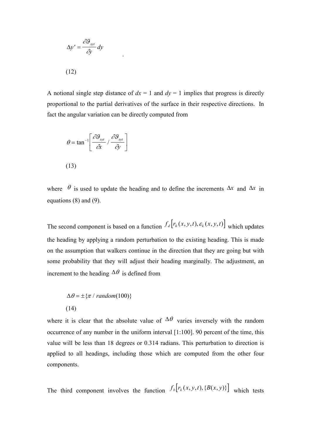$$
\Delta y' = \frac{\partial \mathcal{G}_{xyt}}{\partial y} dy
$$
\n(12)

.

A notional single step distance of  $dx = 1$  and  $dy = 1$  implies that progress is directly proportional to the partial derivatives of the surface in their respective directions. In fact the angular variation can be directly computed from

$$
\theta = \tan^{-1} \left[ \frac{\partial \theta_{\text{xyt}}}{\partial x} / \frac{\partial \theta_{\text{xyt}}}{\partial y} \right]
$$
\n(13)

where  $\theta$  is used to update the heading and to define the increments  $\Delta x$  and  $\Delta x$  in equations (8) and (9).

The second component is based on a function  $f_d[r_k(x, y, t), \varepsilon_k(x, y, t)]$  which updates the heading by applying a random perturbation to the existing heading. This is made on the assumption that walkers continue in the direction that they are going but with some probability that they will adjust their heading marginally. The adjustment, an increment to the heading  $\Delta\theta$  is defined from

$$
\Delta \theta = \pm \{\pi \mid random(100)\}\
$$
  
(14)

where it is clear that the absolute value of  $\Delta\theta$  varies inversely with the random occurrence of any number in the uniform interval [1:100]. 90 percent of the time, this value will be less than 18 degrees or 0.314 radians. This perturbation to direction is applied to all headings, including those which are computed from the other four components.

The third component involves the function  $f_b[r_k(x, y, t), {B(x, y)}]$  which tests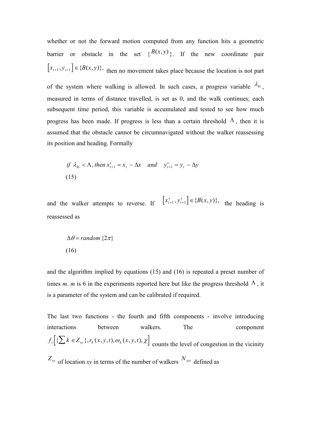whether or not the forward motion computed from any function hits a geometric barrier or obstacle in the set  ${B(x,y)$ . If the new coordinate pair  $[x_{t+1}, y_{t+1}] \in \{B(x, y)\}\$ , then no movement takes place because the location is not part of the system where walking is allowed. In such cases, a progress variable  $\lambda_{kt}$ , measured in terms of distance travelled, is set as 0, and the walk continues; each subsequent time period, this variable is accumulated and tested to see how much progress has been made. If progress is less than a certain threshold  $\Lambda$ , then it is assumed that the obstacle cannot be circumnavigated without the walker reassessing its position and heading. Formally

if 
$$
\lambda_{kt} < \Lambda
$$
, then  $x'_{t+1} = x_t - \Delta x$  and  $y'_{t+1} = y_t - \Delta y$   
(15)

and the walker attempts to reverse. If  $[x'_{i+1}, y'_{i+1}] \in \{B(x, y)\}$ , the heading is reassessed as

$$
\Delta \theta = random \{2\pi\}
$$
  
(16)

and the algorithm implied by equations (15) and (16) is repeated a preset number of times m. m is 6 in the experiments reported here but like the progress threshold  $\Lambda$ , it is a parameter of the system and can be calibrated if required.

The last two functions - the fourth and fifth components - involve introducing interactions between walkers. The component  $f_c\left[\{\sum k \in Z_{xy}\}\right], r_k(x, y, t), \omega_k(x, y, t), \chi\right]$  counts the level of congestion in the vicinity  $Z_{xy}$  of location xy in terms of the number of walkers  $N_{xyt}$  defined as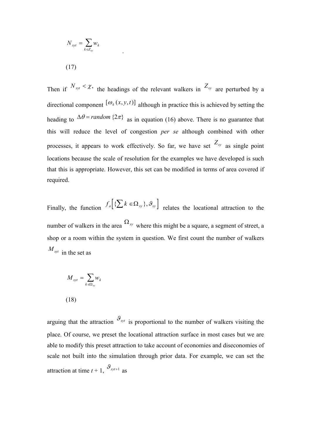$$
N_{xyt} = \sum_{k \in Z_{xy}} w_k
$$
\n(17)

.

Then if  $N_{xyt} < \chi$ , the headings of the relevant walkers in  $Z_{xy}$  are perturbed by a directional component  $[\omega_k(x, y, t)]$  although in practice this is achieved by setting the heading to  $\Delta \theta$  = random { $2\pi$ } as in equation (16) above. There is no guarantee that this will reduce the level of congestion per se although combined with other processes, it appears to work effectively. So far, we have set  $Z_{xy}$  as single point locations because the scale of resolution for the examples we have developed is such that this is appropriate. However, this set can be modified in terms of area covered if required.

Finally, the function  $f_a$   $\left[ {\{\sum k \in \Omega_{xy}\}, \mathcal{G}_{xy}} \right]$  relates the locational attraction to the number of walkers in the area  $\Omega_{xy}$  where this might be a square, a segment of street, a shop or a room within the system in question. We first count the number of walkers  $M_{xyt}$  in the set as

$$
M_{xyt} = \sum_{k \in \Omega_{xy}} w_k
$$
 (18)

arguing that the attraction  $\mathcal{S}_{x,yt}$  is proportional to the number of walkers visiting the place. Of course, we preset the locational attraction surface in most cases but we are able to modify this preset attraction to take account of economies and diseconomies of scale not built into the simulation through prior data. For example, we can set the attraction at time  $t+1$ ,  $\mathcal{S}_{xyt+1}$  as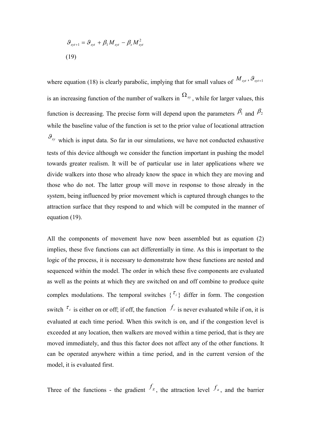$$
\mathcal{G}_{xyt+1} = \mathcal{G}_{xyt} + \beta_1 M_{xyt} - \beta_s M_{xyt}^2
$$
\n(19)

where equation (18) is clearly parabolic, implying that for small values of  $M_{xyt}$ ,  $\mathcal{G}_{xyt+1}$ is an increasing function of the number of walkers in  $\Omega_{xy}$ , while for larger values, this function is decreasing. The precise form will depend upon the parameters  $\beta_1$  and  $\beta_2$ while the baseline value of the function is set to the prior value of locational attraction  $\mathcal{S}_{xy}$  which is input data. So far in our simulations, we have not conducted exhaustive tests of this device although we consider the function important in pushing the model towards greater realism. It will be of particular use in later applications where we divide walkers into those who already know the space in which they are moving and those who do not. The latter group will move in response to those already in the system, being influenced by prior movement which is captured through changes to the attraction surface that they respond to and which will be computed in the manner of equation (19).

All the components of movement have now been assembled but as equation (2) implies, these five functions can act differentially in time. As this is important to the logic of the process, it is necessary to demonstrate how these functions are nested and sequenced within the model. The order in which these five components are evaluated as well as the points at which they are switched on and off combine to produce quite complex modulations. The temporal switches  $\{^{\tau_i}\}$  differ in form. The congestion switch  $\tau_c$  is either on or off; if off, the function  $f_c$  is never evaluated while if on, it is evaluated at each time period. When this switch is on, and if the congestion level is exceeded at any location, then walkers are moved within a time period, that is they are moved immediately, and thus this factor does not affect any of the other functions. It can be operated anywhere within a time period, and in the current version of the model, it is evaluated first.

Three of the functions - the gradient  $f_g$ , the attraction level  $f_g$ , and the barrier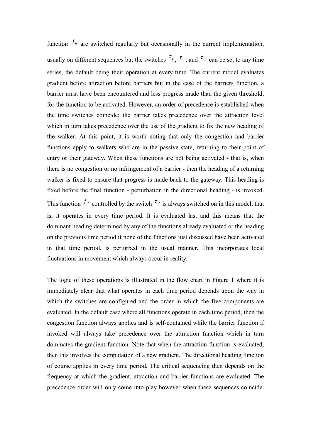function  $f_b$  are switched regularly but occasionally in the current implementation, usually on different sequences but the switches  $\tau_{g}$ ,  $\tau_{a}$ , and  $\tau_{ib}$  can be set to any time series, the default being their operation at every time. The current model evaluates gradient before attraction before barriers but in the case of the barriers function, a barrier must have been encountered and less progress made than the given threshold, for the function to be activated. However, an order of precedence is established when the time switches coincide; the barrier takes precedence over the attraction level which in turn takes precedence over the use of the gradient to fix the new heading of the walker. At this point, it is worth noting that only the congestion and barrier functions apply to walkers who are in the passive state, returning to their point of entry or their gateway. When these functions are not being activated - that is, when there is no congestion or no infringement of a barrier - then the heading of a returning walker is fixed to ensure that progress is made back to the gateway. This heading is fixed before the final function - perturbation in the directional heading - is invoked. This function  $f_d$  controlled by the switch  $\tau_d$  is always switched on in this model, that is, it operates in every time period. It is evaluated last and this means that the dominant heading determined by any of the functions already evaluated or the heading on the previous time period if none of the functions just discussed have been activated in that time period, is perturbed in the usual manner. This incorporates local fluctuations in movement which always occur in reality.

The logic of these operations is illustrated in the flow chart in Figure 1 where it is immediately clear that what operates in each time period depends upon the way in which the switches are configured and the order in which the five components are evaluated. In the default case where all functions operate in each time period, then the congestion function always applies and is self-contained while the barrier function if invoked will always take precedence over the attraction function which in turn dominates the gradient function. Note that when the attraction function is evaluated, then this involves the computation of a new gradient. The directional heading function of course applies in every time period. The critical sequencing then depends on the frequency at which the gradient, attraction and barrier functions are evaluated. The precedence order will only come into play however when these sequences coincide.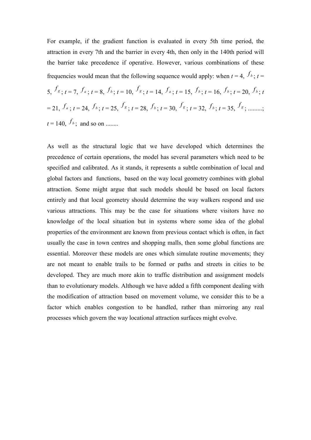For example, if the gradient function is evaluated in every 5th time period, the attraction in every 7th and the barrier in every 4th, then only in the 140th period will the barrier take precedence if operative. However, various combinations of these frequencies would mean that the following sequence would apply: when  $t = 4$ ,  $f_{b}$ ;  $t =$ 5,  $f_s$ ;  $t = 7$ ,  $f_a$ ;  $t = 8$ ,  $f_b$ ;  $t = 10$ ,  $f_s$ ;  $t = 14$ ,  $f_a$ ;  $t = 15$ ,  $f_b$ ;  $t = 16$ ,  $f_b$ ;  $t = 20$ ,  $f_b$ ;  $t$  $= 21, \, f_a$ ;  $t = 24, \, f_b$ ;  $t = 25, \, f_s$ ;  $t = 28, \, f_b$ ;  $t = 30, \, f_s$ ;  $t = 32, \, f_b$ ;  $t = 35, \, f_s$ ; .........;

$$
t = 140
$$
,  $f_b$ ; and so on .......

As well as the structural logic that we have developed which determines the precedence of certain operations, the model has several parameters which need to be specified and calibrated. As it stands, it represents a subtle combination of local and global factors and functions, based on the way local geometry combines with global attraction. Some might argue that such models should be based on local factors entirely and that local geometry should determine the way walkers respond and use various attractions. This may be the case for situations where visitors have no knowledge of the local situation but in systems where some idea of the global properties of the environment are known from previous contact which is often, in fact usually the case in town centres and shopping malls, then some global functions are essential. Moreover these models are ones which simulate routine movements; they are not meant to enable trails to be formed or paths and streets in cities to be developed. They are much more akin to traffic distribution and assignment models than to evolutionary models. Although we have added a fifth component dealing with the modification of attraction based on movement volume, we consider this to be a factor which enables congestion to be handled, rather than mirroring any real processes which govern the way locational attraction surfaces might evolve.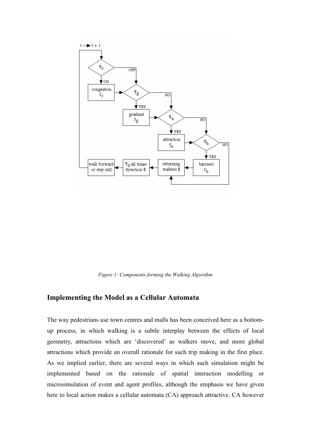

Figure 1: Components forming the Walking Algorithm

# Implementing the Model as a Cellular Automata

The way pedestrians use town centres and malls has been conceived here as a bottomup process, in which walking is a subtle interplay between the effects of local geometry, attractions which are 'discovered' as walkers move, and more global attractions which provide an overall rationale for such trip making in the first place. As we implied earlier, there are several ways in which such simulation might be implemented based on the rationale of spatial interaction modelling or microsimulation of event and agent profiles, although the emphasis we have given here to local action makes a cellular automata (CA) approach attractive. CA however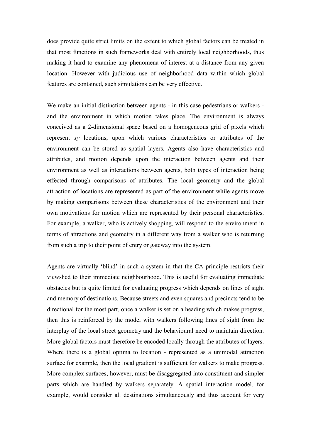does provide quite strict limits on the extent to which global factors can be treated in that most functions in such frameworks deal with entirely local neighborhoods, thus making it hard to examine any phenomena of interest at a distance from any given location. However with judicious use of neighborhood data within which global features are contained, such simulations can be very effective.

We make an initial distinction between agents - in this case pedestrians or walkers and the environment in which motion takes place. The environment is always conceived as a 2-dimensional space based on a homogeneous grid of pixels which represent xy locations, upon which various characteristics or attributes of the environment can be stored as spatial layers. Agents also have characteristics and attributes, and motion depends upon the interaction between agents and their environment as well as interactions between agents, both types of interaction being effected through comparisons of attributes. The local geometry and the global attraction of locations are represented as part of the environment while agents move by making comparisons between these characteristics of the environment and their own motivations for motion which are represented by their personal characteristics. For example, a walker, who is actively shopping, will respond to the environment in terms of attractions and geometry in a different way from a walker who is returning from such a trip to their point of entry or gateway into the system.

Agents are virtually 'blind' in such a system in that the CA principle restricts their viewshed to their immediate neighbourhood. This is useful for evaluating immediate obstacles but is quite limited for evaluating progress which depends on lines of sight and memory of destinations. Because streets and even squares and precincts tend to be directional for the most part, once a walker is set on a heading which makes progress, then this is reinforced by the model with walkers following lines of sight from the interplay of the local street geometry and the behavioural need to maintain direction. More global factors must therefore be encoded locally through the attributes of layers. Where there is a global optima to location - represented as a unimodal attraction surface for example, then the local gradient is sufficient for walkers to make progress. More complex surfaces, however, must be disaggregated into constituent and simpler parts which are handled by walkers separately. A spatial interaction model, for example, would consider all destinations simultaneously and thus account for very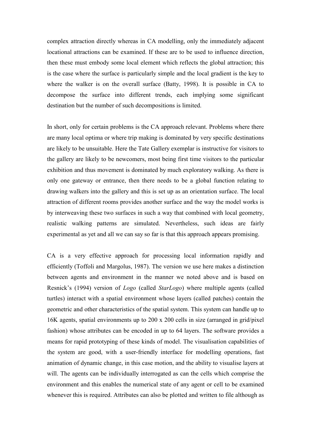complex attraction directly whereas in CA modelling, only the immediately adjacent locational attractions can be examined. If these are to be used to influence direction, then these must embody some local element which reflects the global attraction; this is the case where the surface is particularly simple and the local gradient is the key to where the walker is on the overall surface (Batty, 1998). It is possible in CA to decompose the surface into different trends, each implying some significant destination but the number of such decompositions is limited.

In short, only for certain problems is the CA approach relevant. Problems where there are many local optima or where trip making is dominated by very specific destinations are likely to be unsuitable. Here the Tate Gallery exemplar is instructive for visitors to the gallery are likely to be newcomers, most being first time visitors to the particular exhibition and thus movement is dominated by much exploratory walking. As there is only one gateway or entrance, then there needs to be a global function relating to drawing walkers into the gallery and this is set up as an orientation surface. The local attraction of different rooms provides another surface and the way the model works is by interweaving these two surfaces in such a way that combined with local geometry, realistic walking patterns are simulated. Nevertheless, such ideas are fairly experimental as yet and all we can say so far is that this approach appears promising.

CA is a very effective approach for processing local information rapidly and efficiently (Toffoli and Margolus, 1987). The version we use here makes a distinction between agents and environment in the manner we noted above and is based on Resnick's (1994) version of Logo (called StarLogo) where multiple agents (called turtles) interact with a spatial environment whose layers (called patches) contain the geometric and other characteristics of the spatial system. This system can handle up to 16K agents, spatial environments up to 200 x 200 cells in size (arranged in grid/pixel fashion) whose attributes can be encoded in up to 64 layers. The software provides a means for rapid prototyping of these kinds of model. The visualisation capabilities of the system are good, with a user-friendly interface for modelling operations, fast animation of dynamic change, in this case motion, and the ability to visualise layers at will. The agents can be individually interrogated as can the cells which comprise the environment and this enables the numerical state of any agent or cell to be examined whenever this is required. Attributes can also be plotted and written to file although as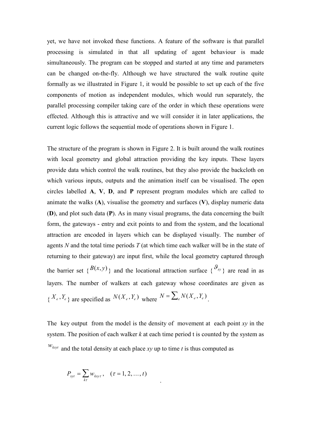yet, we have not invoked these functions. A feature of the software is that parallel processing is simulated in that all updating of agent behaviour is made simultaneously. The program can be stopped and started at any time and parameters can be changed on-the-fly. Although we have structured the walk routine quite formally as we illustrated in Figure 1, it would be possible to set up each of the five components of motion as independent modules, which would run separately, the parallel processing compiler taking care of the order in which these operations were effected. Although this is attractive and we will consider it in later applications, the current logic follows the sequential mode of operations shown in Figure 1.

The structure of the program is shown in Figure 2. It is built around the walk routines with local geometry and global attraction providing the key inputs. These layers provide data which control the walk routines, but they also provide the backcloth on which various inputs, outputs and the animation itself can be visualised. The open circles labelled A, V, D, and P represent program modules which are called to animate the walks  $(A)$ , visualise the geometry and surfaces  $(V)$ , display numeric data (D), and plot such data (P). As in many visual programs, the data concerning the built form, the gateways - entry and exit points to and from the system, and the locational attraction are encoded in layers which can be displayed visually. The number of agents N and the total time periods  $T$  (at which time each walker will be in the state of returning to their gateway) are input first, while the local geometry captured through the barrier set  $\{B(x,y)\}\$  and the locational attraction surface  $\{B_{xy}\}\$  are read in as layers. The number of walkers at each gateway whose coordinates are given as  ${X_e, Y_e}$  are specified as  $N(X_e, Y_e)$  where  $N = \sum_e N(X_e, Y_e)$ .

The key output from the model is the density of movement at each point  $xy$  in the system. The position of each walker  $k$  at each time period t is counted by the system as  $W_{kxyt}$  and the total density at each place xy up to time t is thus computed as

.

$$
P_{xyt} = \sum_{k\tau} w_{kxy\tau}, \quad (\tau = 1, 2, ..., t)
$$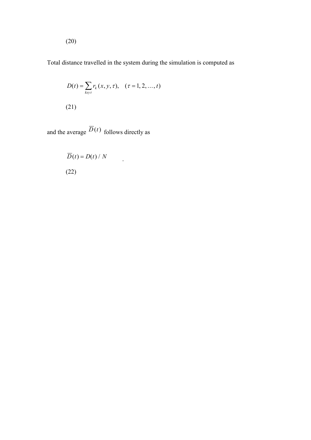Total distance travelled in the system during the simulation is computed as

$$
D(t) = \sum_{kxy\tau} r_k(x, y, \tau), \quad (\tau = 1, 2, ..., t)
$$
  
(21)

.

and the average  $\overline{D}(t)$  follows directly as

$$
\overline{D}(t) = D(t) / N
$$
\n(22)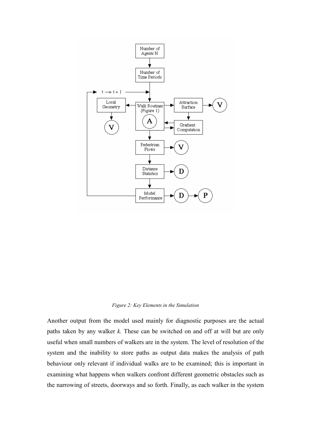

#### Figure 2: Key Elements in the Simulation

Another output from the model used mainly for diagnostic purposes are the actual paths taken by any walker k. These can be switched on and off at will but are only useful when small numbers of walkers are in the system. The level of resolution of the system and the inability to store paths as output data makes the analysis of path behaviour only relevant if individual walks are to be examined; this is important in examining what happens when walkers confront different geometric obstacles such as the narrowing of streets, doorways and so forth. Finally, as each walker in the system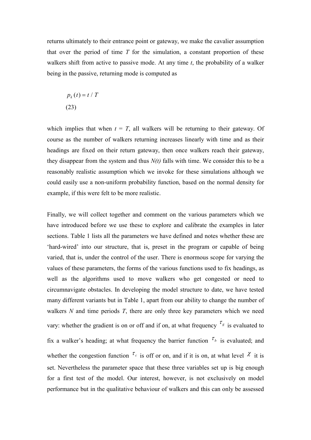returns ultimately to their entrance point or gateway, we make the cavalier assumption that over the period of time  $T$  for the simulation, a constant proportion of these walkers shift from active to passive mode. At any time  $t$ , the probability of a walker being in the passive, returning mode is computed as

$$
p_k(t) = t / T
$$
  
(23)

which implies that when  $t = T$ , all walkers will be returning to their gateway. Of course as the number of walkers returning increases linearly with time and as their headings are fixed on their return gateway, then once walkers reach their gateway, they disappear from the system and thus  $N(t)$  falls with time. We consider this to be a reasonably realistic assumption which we invoke for these simulations although we could easily use a non-uniform probability function, based on the normal density for example, if this were felt to be more realistic.

Finally, we will collect together and comment on the various parameters which we have introduced before we use these to explore and calibrate the examples in later sections. Table 1 lists all the parameters we have defined and notes whether these are 'hard-wired' into our structure, that is, preset in the program or capable of being varied, that is, under the control of the user. There is enormous scope for varying the values of these parameters, the forms of the various functions used to fix headings, as well as the algorithms used to move walkers who get congested or need to circumnavigate obstacles. In developing the model structure to date, we have tested many different variants but in Table 1, apart from our ability to change the number of walkers  $N$  and time periods  $T$ , there are only three key parameters which we need vary: whether the gradient is on or off and if on, at what frequency  $\tau_g$  is evaluated to fix a walker's heading; at what frequency the barrier function  $\tau_b$  is evaluated; and whether the congestion function  $\tau_c$  is off or on, and if it is on, at what level  $\chi$  it is set. Nevertheless the parameter space that these three variables set up is big enough for a first test of the model. Our interest, however, is not exclusively on model performance but in the qualitative behaviour of walkers and this can only be assessed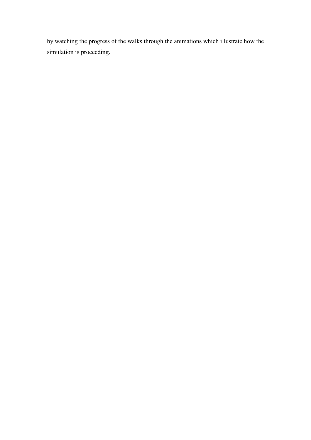by watching the progress of the walks through the animations which illustrate how the simulation is proceeding.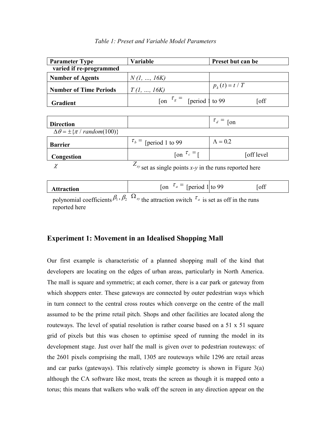| Table 1: Preset and Variable Model Parameters |
|-----------------------------------------------|
|-----------------------------------------------|

| <b>Parameter Type</b>         | <b>Variable</b>                 | Preset but can be |       |
|-------------------------------|---------------------------------|-------------------|-------|
| varied if re-programmed       |                                 |                   |       |
| <b>Number of Agents</b>       | N(l, , 16K)                     |                   |       |
| <b>Number of Time Periods</b> | T(l, , 16K)                     | $p_k(t) = t / T$  |       |
| Gradient                      | [on $\tau_g$ = [period 1 to 99] |                   | [off] |

| <b>Direction</b>                               |                                                             | $\tau_d =$ [on  |  |  |
|------------------------------------------------|-------------------------------------------------------------|-----------------|--|--|
| $\Delta\theta = \pm \{\pi / \, random(100)\}\$ |                                                             |                 |  |  |
| <b>Barrier</b>                                 | $\tau_b$ = [period 1 to 99]                                 | $\Lambda = 0.2$ |  |  |
| Congestion                                     | $\int$ on $\tau_c$ = $\int$                                 | [off level]     |  |  |
|                                                | $Z_{xy}$ set as single points x-y in the runs reported here |                 |  |  |
|                                                |                                                             |                 |  |  |

polynomial coefficients  $\beta_1$ ,  $\beta_2$   $\Omega_{xy}$  the attraction switch  $\tau_a$  is set as off in the runs reported here

Attraction [on  $\tau_a$  = [period 1 to 99 [off]

# Experiment 1: Movement in an Idealised Shopping Mall

Our first example is characteristic of a planned shopping mall of the kind that developers are locating on the edges of urban areas, particularly in North America. The mall is square and symmetric; at each corner, there is a car park or gateway from which shoppers enter. These gateways are connected by outer pedestrian ways which in turn connect to the central cross routes which converge on the centre of the mall assumed to be the prime retail pitch. Shops and other facilities are located along the routeways. The level of spatial resolution is rather coarse based on a 51 x 51 square grid of pixels but this was chosen to optimise speed of running the model in its development stage. Just over half the mall is given over to pedestrian routeways: of the 2601 pixels comprising the mall, 1305 are routeways while 1296 are retail areas and car parks (gateways). This relatively simple geometry is shown in Figure 3(a) although the CA software like most, treats the screen as though it is mapped onto a torus; this means that walkers who walk off the screen in any direction appear on the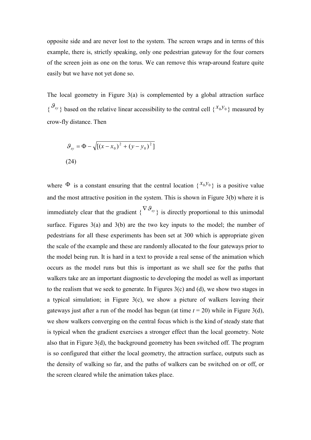opposite side and are never lost to the system. The screen wraps and in terms of this example, there is, strictly speaking, only one pedestrian gateway for the four corners of the screen join as one on the torus. We can remove this wrap-around feature quite easily but we have not yet done so.

The local geometry in Figure 3(a) is complemented by a global attraction surface  $\{S_{xy}\}\)$  based on the relative linear accessibility to the central cell  $\{x_0, y_0\}$  measured by crow-fly distance. Then

$$
\mathcal{G}_{xy} = \Phi - \sqrt{[(x - x_0)^2 + (y - y_0)^2]}
$$
\n(24)

where  $\Phi$  is a constant ensuring that the central location  $\{x_0, y_0\}$  is a positive value and the most attractive position in the system. This is shown in Figure 3(b) where it is immediately clear that the gradient  $\{ \nabla \mathcal{G}_{xy} \}$  is directly proportional to this unimodal surface. Figures  $3(a)$  and  $3(b)$  are the two key inputs to the model; the number of pedestrians for all these experiments has been set at 300 which is appropriate given the scale of the example and these are randomly allocated to the four gateways prior to the model being run. It is hard in a text to provide a real sense of the animation which occurs as the model runs but this is important as we shall see for the paths that walkers take are an important diagnostic to developing the model as well as important to the realism that we seek to generate. In Figures 3(c) and (d), we show two stages in a typical simulation; in Figure 3(c), we show a picture of walkers leaving their gateways just after a run of the model has begun (at time  $t = 20$ ) while in Figure 3(d), we show walkers converging on the central focus which is the kind of steady state that is typical when the gradient exercises a stronger effect than the local geometry. Note also that in Figure 3(d), the background geometry has been switched off. The program is so configured that either the local geometry, the attraction surface, outputs such as the density of walking so far, and the paths of walkers can be switched on or off, or the screen cleared while the animation takes place.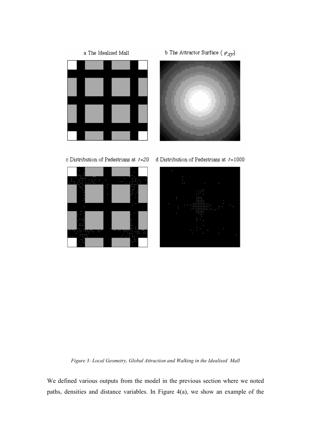





c Distribution of Pedestrians at  $t=20$ 







Figure 3: Local Geometry, Global Attraction and Walking in the Idealised Mall

We defined various outputs from the model in the previous section where we noted paths, densities and distance variables. In Figure 4(a), we show an example of the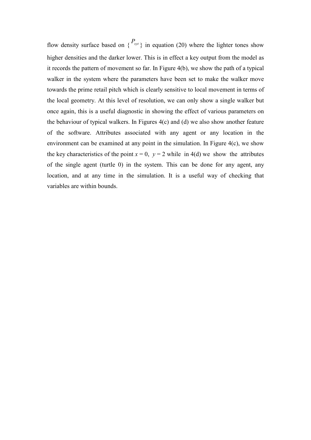flow density surface based on  $\{P_{xyt}\}\$  in equation (20) where the lighter tones show higher densities and the darker lower. This is in effect a key output from the model as it records the pattern of movement so far. In Figure 4(b), we show the path of a typical walker in the system where the parameters have been set to make the walker move towards the prime retail pitch which is clearly sensitive to local movement in terms of the local geometry. At this level of resolution, we can only show a single walker but once again, this is a useful diagnostic in showing the effect of various parameters on the behaviour of typical walkers. In Figures 4(c) and (d) we also show another feature of the software. Attributes associated with any agent or any location in the environment can be examined at any point in the simulation. In Figure 4(c), we show the key characteristics of the point  $x = 0$ ,  $y = 2$  while in 4(d) we show the attributes of the single agent (turtle 0) in the system. This can be done for any agent, any location, and at any time in the simulation. It is a useful way of checking that variables are within bounds.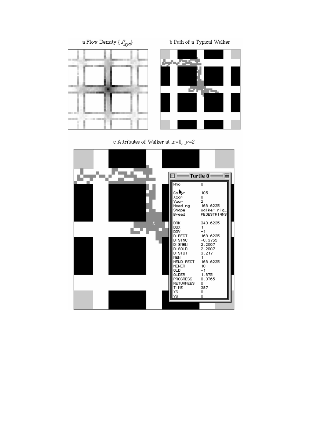





c Attributes of Walker at  $x=0$ ,  $y=2$ 

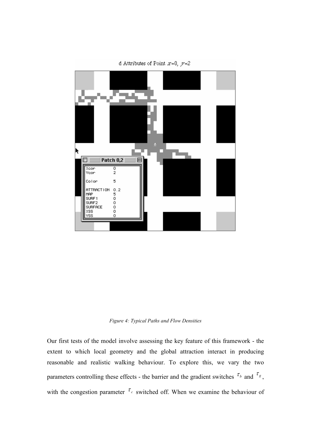

d Attributes of Point  $x=0$ ,  $y=2$ 



Our first tests of the model involve assessing the key feature of this framework - the extent to which local geometry and the global attraction interact in producing reasonable and realistic walking behaviour. To explore this, we vary the two parameters controlling these effects - the barrier and the gradient switches  $\tau_b$  and  $\tau_g$ , with the congestion parameter  $\tau_c$  switched off. When we examine the behaviour of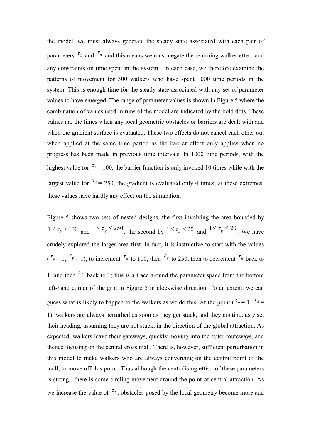the model, we must always generate the steady state associated with each pair of parameters  $\tau_b$  and  $\tau_s$  and this means we must negate the returning walker effect and any constraints on time spent in the system. In each case, we therefore examine the patterns of movement for 300 walkers who have spent 1000 time periods in the system. This is enough time for the steady state associated with any set of parameter values to have emerged. The range of parameter values is shown in Figure 5 where the combination of values used in runs of the model are indicated by the bold dots. These values are the times when any local geometric obstacles or barriers are dealt with and when the gradient surface is evaluated. These two effects do not cancel each other out when applied at the same time period as the barrier effect only applies when no progress has been made in previous time intervals. In 1000 time periods, with the highest value for  $\tau_{b} = 100$ , the barrier function is only invoked 10 times while with the largest value for  $\tau_{\rm g} = 250$ , the gradient is evaluated only 4 times; at these extremes, these values have hardly any effect on the simulation.

Figure 5 shows two sets of nested designs, the first involving the area bounded by  $1 \le \tau_b \le 100$  and  $1 \le \tau_g \le 250$ , the second by  $1 \le \tau_b \le 20$  and  $1 \le \tau_g \le 20$ . We have crudely explored the larger area first. In fact, it is instructive to start with the values  $({}^{\tau}b=1, {}^{\tau}s=1)$ , to increment  ${}^{\tau}b$  to 100, then  ${}^{\tau}s$  to 250, then to decrement  ${}^{\tau}b$  back to 1, and then  $\tau_g$  back to 1; this is a trace around the parameter space from the bottom left-hand corner of the grid in Figure 5 in clockwise direction. To an extent, we can guess what is likely to happen to the walkers as we do this. At the point ( $\tau_{b} = 1$ ,  $\tau_{g} =$ 1), walkers are always perturbed as soon as they get stuck, and they continuously set their heading, assuming they are not stuck, in the direction of the global attraction. As expected, walkers leave their gateways, quickly moving into the outer routeways, and thence focusing on the central cross mall. There is, however, sufficient perturbation in this model to make walkers who are always converging on the central point of the mall, to move off this point. Thus although the centralising effect of these parameters is strong, there is some circling movement around the point of central attraction. As we increase the value of  $\tau_{b}$ , obstacles posed by the local geometry become more and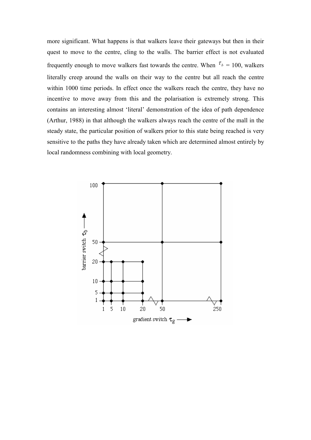more significant. What happens is that walkers leave their gateways but then in their quest to move to the centre, cling to the walls. The barrier effect is not evaluated frequently enough to move walkers fast towards the centre. When  $\tau_b = 100$ , walkers literally creep around the walls on their way to the centre but all reach the centre within 1000 time periods. In effect once the walkers reach the centre, they have no incentive to move away from this and the polarisation is extremely strong. This contains an interesting almost 'literal' demonstration of the idea of path dependence (Arthur, 1988) in that although the walkers always reach the centre of the mall in the steady state, the particular position of walkers prior to this state being reached is very sensitive to the paths they have already taken which are determined almost entirely by local randomness combining with local geometry.

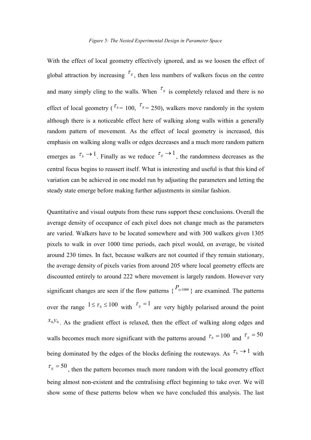With the effect of local geometry effectively ignored, and as we loosen the effect of global attraction by increasing  $\tau_g$ , then less numbers of walkers focus on the centre and many simply cling to the walls. When  $\tau_g$  is completely relaxed and there is no effect of local geometry ( $\tau_{b} = 100$ ,  $\tau_{g} = 250$ ), walkers move randomly in the system although there is a noticeable effect here of walking along walls within a generally random pattern of movement. As the effect of local geometry is increased, this emphasis on walking along walls or edges decreases and a much more random pattern emerges as  $\tau_b \to 1$ . Finally as we reduce  $\tau_g \to 1$ , the randomness decreases as the central focus begins to reassert itself. What is interesting and useful is that this kind of variation can be achieved in one model run by adjusting the parameters and letting the steady state emerge before making further adjustments in similar fashion.

Quantitative and visual outputs from these runs support these conclusions. Overall the average density of occupance of each pixel does not change much as the parameters are varied. Walkers have to be located somewhere and with 300 walkers given 1305 pixels to walk in over 1000 time periods, each pixel would, on average, be visited around 230 times. In fact, because walkers are not counted if they remain stationary, the average density of pixels varies from around 205 where local geometry effects are discounted entirely to around 222 where movement is largely random. However very significant changes are seen if the flow patterns  $\{P_{xy1000}\}$  are examined. The patterns over the range  $1 \le \tau_b \le 100$  with  $\tau_g = 1$  are very highly polarised around the point  $x_0 y_0$ . As the gradient effect is relaxed, then the effect of walking along edges and walls becomes much more significant with the patterns around  $\tau_b = 100$  and  $\tau_g = 50$ being dominated by the edges of the blocks defining the routeways. As  $\tau_b \rightarrow 1$  with  $\tau_g$  = 50, then the pattern becomes much more random with the local geometry effect being almost non-existent and the centralising effect beginning to take over. We will show some of these patterns below when we have concluded this analysis. The last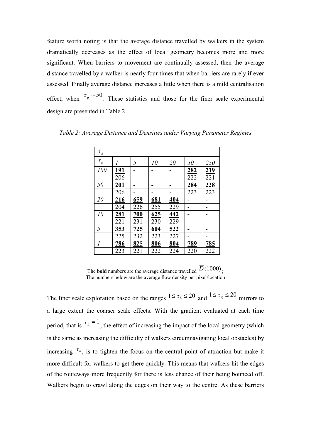feature worth noting is that the average distance travelled by walkers in the system dramatically decreases as the effect of local geometry becomes more and more significant. When barriers to movement are continually assessed, then the average distance travelled by a walker is nearly four times that when barriers are rarely if ever assessed. Finally average distance increases a little when there is a mild centralisation effect, when  $\tau_g \sim 50$ . These statistics and those for the finer scale experimental design are presented in Table 2.

| $\tau_{_g}$ |            |     |            |     |            |            |
|-------------|------------|-----|------------|-----|------------|------------|
| $\tau_{b}$  | 1          | 5   | 10         | 20  | 50         | <i>250</i> |
| 100         | <u>191</u> |     |            |     | <u>282</u> | <u>219</u> |
|             | 206        |     |            |     | 222        | 221        |
| 50          | 201        |     |            |     | 284        | <u>228</u> |
|             | 206        |     |            |     | 223        | 223        |
| 20          | 216        | 659 | <u>681</u> | 404 |            |            |
|             | 204        | 226 | 255        | 229 |            |            |
| 10          | 281        | 700 | 625        | 442 |            |            |
|             | 221        | 231 | 230        | 229 |            |            |
| 5           | 353        | 725 | 604        | 522 |            |            |
|             | 225        | 232 | 223        | 227 |            |            |
| 1           | 786        | 825 | 806        | 804 | 789        | 785        |
|             | 223        | 221 | 222        | 224 | 220        | 222        |

Table 2: Average Distance and Densities under Varying Parameter Regimes

The bold numbers are the average distance travelled  $D(1000)$ <sub>;</sub> The numbers below are the average flow density per pixel/location

The finer scale exploration based on the ranges  $1 \le \tau_b \le 20$  and  $1 \le \tau_g \le 20$  mirrors to a large extent the coarser scale effects. With the gradient evaluated at each time period, that is  $\tau_g = 1$ , the effect of increasing the impact of the local geometry (which is the same as increasing the difficulty of walkers circumnavigating local obstacles) by increasing  $\tau_{b}$ , is to tighten the focus on the central point of attraction but make it more difficult for walkers to get there quickly. This means that walkers hit the edges of the routeways more frequently for there is less chance of their being bounced off. Walkers begin to crawl along the edges on their way to the centre. As these barriers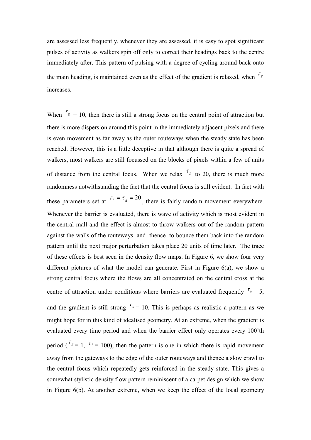are assessed less frequently, whenever they are assessed, it is easy to spot significant pulses of activity as walkers spin off only to correct their headings back to the centre immediately after. This pattern of pulsing with a degree of cycling around back onto the main heading, is maintained even as the effect of the gradient is relaxed, when  $\tau_g$ increases.

When  $\tau_g$  = 10, then there is still a strong focus on the central point of attraction but there is more dispersion around this point in the immediately adjacent pixels and there is even movement as far away as the outer routeways when the steady state has been reached. However, this is a little deceptive in that although there is quite a spread of walkers, most walkers are still focussed on the blocks of pixels within a few of units of distance from the central focus. When we relax  $\tau_g$  to 20, there is much more randomness notwithstanding the fact that the central focus is still evident. In fact with these parameters set at  $\tau_b = \tau_g = 20$ , there is fairly random movement everywhere. Whenever the barrier is evaluated, there is wave of activity which is most evident in the central mall and the effect is almost to throw walkers out of the random pattern against the walls of the routeways and thence to bounce them back into the random pattern until the next major perturbation takes place 20 units of time later. The trace of these effects is best seen in the density flow maps. In Figure 6, we show four very different pictures of what the model can generate. First in Figure 6(a), we show a strong central focus where the flows are all concentrated on the central cross at the centre of attraction under conditions where barriers are evaluated frequently  $\tau_{b} = 5$ , and the gradient is still strong  $\tau_{g} = 10$ . This is perhaps as realistic a pattern as we might hope for in this kind of idealised geometry. At an extreme, when the gradient is evaluated every time period and when the barrier effect only operates every 100'th period ( $\tau_{s=1}$ ,  $\tau_{b=100}$ ), then the pattern is one in which there is rapid movement away from the gateways to the edge of the outer routeways and thence a slow crawl to the central focus which repeatedly gets reinforced in the steady state. This gives a somewhat stylistic density flow pattern reminiscent of a carpet design which we show in Figure 6(b). At another extreme, when we keep the effect of the local geometry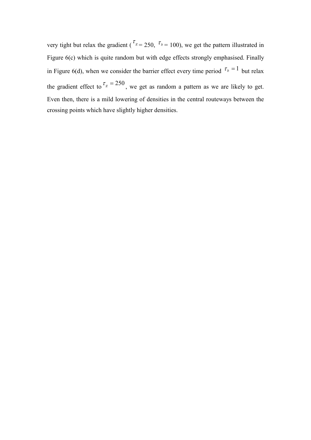very tight but relax the gradient ( $\tau_g = 250$ ,  $\tau_b = 100$ ), we get the pattern illustrated in Figure 6(c) which is quite random but with edge effects strongly emphasised. Finally in Figure 6(d), when we consider the barrier effect every time period  $\tau_b = 1$  but relax the gradient effect to  $\tau_g = 250$ , we get as random a pattern as we are likely to get. Even then, there is a mild lowering of densities in the central routeways between the crossing points which have slightly higher densities.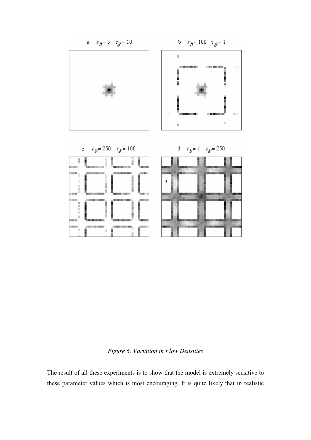

Figure 6: Variation in Flow Densities

The result of all these experiments is to show that the model is extremely sensitive to these parameter values which is most encouraging. It is quite likely that in realistic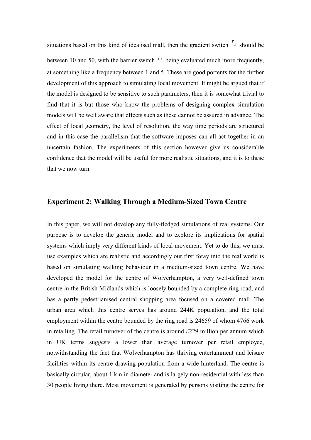situations based on this kind of idealised mall, then the gradient switch  $\tau_g$  should be between 10 and 50, with the barrier switch  $\tau_b$  being evaluated much more frequently, at something like a frequency between 1 and 5. These are good portents for the further development of this approach to simulating local movement. It might be argued that if the model is designed to be sensitive to such parameters, then it is somewhat trivial to find that it is but those who know the problems of designing complex simulation models will be well aware that effects such as these cannot be assured in advance. The effect of local geometry, the level of resolution, the way time periods are structured and in this case the parallelism that the software imposes can all act together in an uncertain fashion. The experiments of this section however give us considerable confidence that the model will be useful for more realistic situations, and it is to these that we now turn.

## Experiment 2: Walking Through a Medium-Sized Town Centre

In this paper, we will not develop any fully-fledged simulations of real systems. Our purpose is to develop the generic model and to explore its implications for spatial systems which imply very different kinds of local movement. Yet to do this, we must use examples which are realistic and accordingly our first foray into the real world is based on simulating walking behaviour in a medium-sized town centre. We have developed the model for the centre of Wolverhampton, a very well-defined town centre in the British Midlands which is loosely bounded by a complete ring road, and has a partly pedestrianised central shopping area focused on a covered mall. The urban area which this centre serves has around 244K population, and the total employment within the centre bounded by the ring road is 24659 of whom 4766 work in retailing. The retail turnover of the centre is around £229 million per annum which in UK terms suggests a lower than average turnover per retail employee, notwithstanding the fact that Wolverhampton has thriving entertainment and leisure facilities within its centre drawing population from a wide hinterland. The centre is basically circular, about 1 km in diameter and is largely non-residential with less than 30 people living there. Most movement is generated by persons visiting the centre for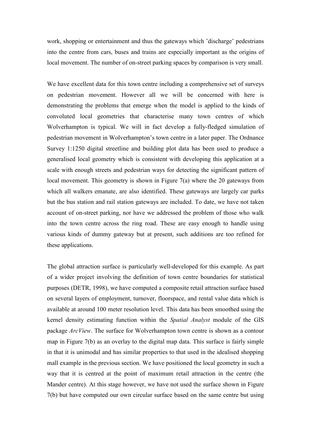work, shopping or entertainment and thus the gateways which 'discharge' pedestrians into the centre from cars, buses and trains are especially important as the origins of local movement. The number of on-street parking spaces by comparison is very small.

We have excellent data for this town centre including a comprehensive set of surveys on pedestrian movement. However all we will be concerned with here is demonstrating the problems that emerge when the model is applied to the kinds of convoluted local geometries that characterise many town centres of which Wolverhampton is typical. We will in fact develop a fully-fledged simulation of pedestrian movement in Wolverhampton's town centre in a later paper. The Ordnance Survey 1:1250 digital streetline and building plot data has been used to produce a generalised local geometry which is consistent with developing this application at a scale with enough streets and pedestrian ways for detecting the significant pattern of local movement. This geometry is shown in Figure 7(a) where the 20 gateways from which all walkers emanate, are also identified. These gateways are largely car parks but the bus station and rail station gateways are included. To date, we have not taken account of on-street parking, nor have we addressed the problem of those who walk into the town centre across the ring road. These are easy enough to handle using various kinds of dummy gateway but at present, such additions are too refined for these applications.

The global attraction surface is particularly well-developed for this example. As part of a wider project involving the definition of town centre boundaries for statistical purposes (DETR, 1998), we have computed a composite retail attraction surface based on several layers of employment, turnover, floorspace, and rental value data which is available at around 100 meter resolution level. This data has been smoothed using the kernel density estimating function within the Spatial Analyst module of the GIS package ArcView. The surface for Wolverhampton town centre is shown as a contour map in Figure 7(b) as an overlay to the digital map data. This surface is fairly simple in that it is unimodal and has similar properties to that used in the idealised shopping mall example in the previous section. We have positioned the local geometry in such a way that it is centred at the point of maximum retail attraction in the centre (the Mander centre). At this stage however, we have not used the surface shown in Figure 7(b) but have computed our own circular surface based on the same centre but using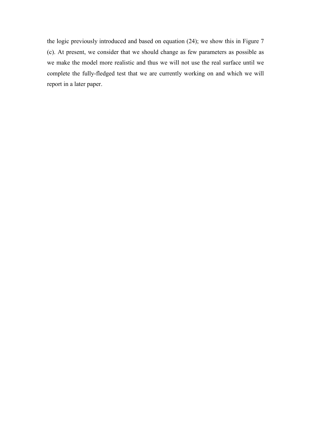the logic previously introduced and based on equation (24); we show this in Figure 7 (c). At present, we consider that we should change as few parameters as possible as we make the model more realistic and thus we will not use the real surface until we complete the fully-fledged test that we are currently working on and which we will report in a later paper.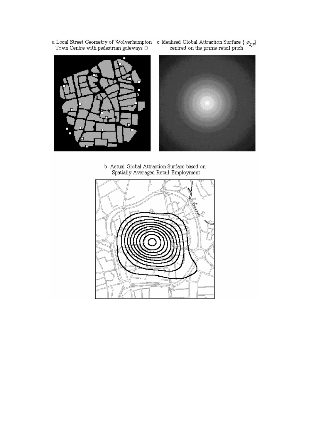

b Actual Global Attraction Surface based on Spatially Averaged Retail Employment

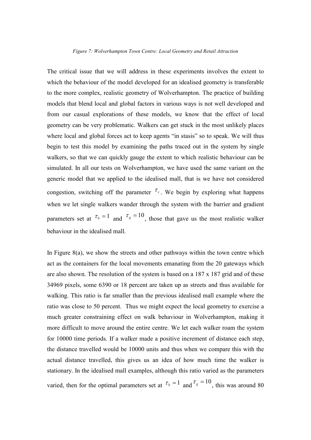## Figure 7: Wolverhampton Town Centre: Local Geometry and Retail Attraction

The critical issue that we will address in these experiments involves the extent to which the behaviour of the model developed for an idealised geometry is transferable to the more complex, realistic geometry of Wolverhampton. The practice of building models that blend local and global factors in various ways is not well developed and from our casual explorations of these models, we know that the effect of local geometry can be very problematic. Walkers can get stuck in the most unlikely places where local and global forces act to keep agents "in stasis" so to speak. We will thus begin to test this model by examining the paths traced out in the system by single walkers, so that we can quickly gauge the extent to which realistic behaviour can be simulated. In all our tests on Wolverhampton, we have used the same variant on the generic model that we applied to the idealised mall, that is we have not considered congestion, switching off the parameter  $\tau_c$ . We begin by exploring what happens when we let single walkers wander through the system with the barrier and gradient parameters set at  $\tau_b = 1$  and  $\tau_g = 10$ , those that gave us the most realistic walker behaviour in the idealised mall.

In Figure 8(a), we show the streets and other pathways within the town centre which act as the containers for the local movements emanating from the 20 gateways which are also shown. The resolution of the system is based on a  $187 \times 187$  grid and of these 34969 pixels, some 6390 or 18 percent are taken up as streets and thus available for walking. This ratio is far smaller than the previous idealised mall example where the ratio was close to 50 percent. Thus we might expect the local geometry to exercise a much greater constraining effect on walk behaviour in Wolverhampton, making it more difficult to move around the entire centre. We let each walker roam the system for 10000 time periods. If a walker made a positive increment of distance each step, the distance travelled would be 10000 units and thus when we compare this with the actual distance travelled, this gives us an idea of how much time the walker is stationary. In the idealised mall examples, although this ratio varied as the parameters varied, then for the optimal parameters set at  $\tau_b = 1$  and  $\tau_g = 10$ , this was around 80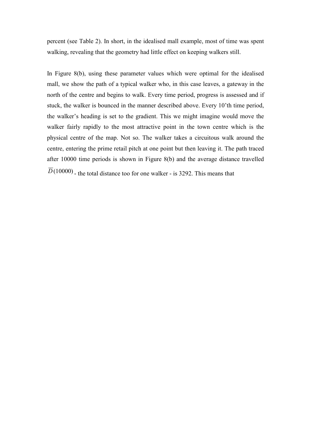percent (see Table 2). In short, in the idealised mall example, most of time was spent walking, revealing that the geometry had little effect on keeping walkers still.

In Figure 8(b), using these parameter values which were optimal for the idealised mall, we show the path of a typical walker who, in this case leaves, a gateway in the north of the centre and begins to walk. Every time period, progress is assessed and if stuck, the walker is bounced in the manner described above. Every 10'th time period, the walker's heading is set to the gradient. This we might imagine would move the walker fairly rapidly to the most attractive point in the town centre which is the physical centre of the map. Not so. The walker takes a circuitous walk around the centre, entering the prime retail pitch at one point but then leaving it. The path traced after 10000 time periods is shown in Figure 8(b) and the average distance travelled  $\overline{D}(10000)$  - the total distance too for one walker - is 3292. This means that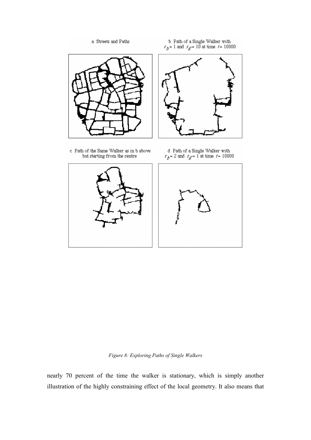a Streets and Paths



c Path of the Same Walker as in b above but starting from the centre

b Path of a Single Walker with  $r_{\tilde{G}}{=}$  1 and  $\;r_{\tilde{G}}{=}$  10 at time  $\;t{=}$  10000



% d Path of a Single Walker with  $r_{\tilde{g}}=2$  and  $\;r_{g^{\prime \prime }}=1$  at time  $\;t=10000$ 



Figure 8: Exploring Paths of Single Walkers

nearly 70 percent of the time the walker is stationary, which is simply another illustration of the highly constraining effect of the local geometry. It also means that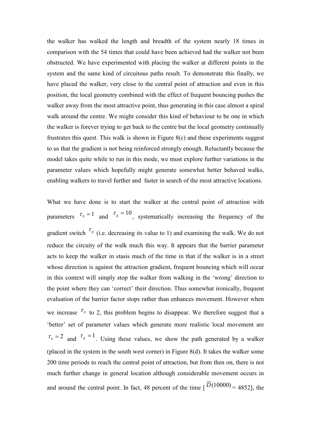the walker has walked the length and breadth of the system nearly 18 times in comparison with the 54 times that could have been achieved had the walker not been obstructed. We have experimented with placing the walker at different points in the system and the same kind of circuitous paths result. To demonstrate this finally, we have placed the walker, very close to the central point of attraction and even in this position, the local geometry combined with the effect of frequent bouncing pushes the walker away from the most attractive point, thus generating in this case almost a spiral walk around the centre. We might consider this kind of behaviour to be one in which the walker is forever trying to get back to the centre but the local geometry continually frustrates this quest. This walk is shown in Figure 8(c) and these experiments suggest to us that the gradient is not being reinforced strongly enough. Reluctantly because the model takes quite while to run in this mode, we must explore further variations in the parameter values which hopefully might generate somewhat better behaved walks, enabling walkers to travel further and faster in search of the most attractive locations.

What we have done is to start the walker at the central point of attraction with parameters  $\tau_b = 1$  and  $\tau_g = 10$ , systematically increasing the frequency of the gradient switch  $\tau_g$  (i.e. decreasing its value to 1) and examining the walk. We do not reduce the circuity of the walk much this way. It appears that the barrier parameter acts to keep the walker in stasis much of the time in that if the walker is in a street whose direction is against the attraction gradient, frequent bouncing which will occur in this context will simply stop the walker from walking in the 'wrong' direction to the point where they can 'correct' their direction. Thus somewhat ironically, frequent evaluation of the barrier factor stops rather than enhances movement. However when we increase  $\tau_b$  to 2, this problem begins to disappear. We therefore suggest that a 'better' set of parameter values which generate more realistic local movement are  $\tau_b = 2$  and  $\tau_g = 1$ . Using these values, we show the path generated by a walker (placed in the system in the south west corner) in Figure 8(d). It takes the walker some 200 time periods to reach the central point of attraction, but from then on, there is not much further change in general location although considerable movement occurs in and around the central point. In fact, 48 percent of the time  $\overline{D}$ (10000) = 48521, the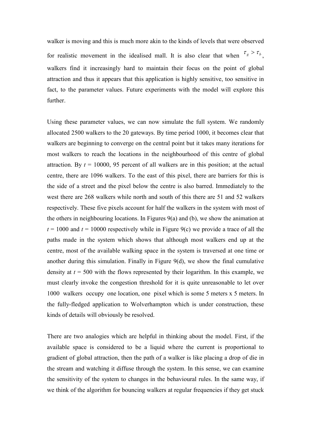walker is moving and this is much more akin to the kinds of levels that were observed for realistic movement in the idealised mall. It is also clear that when  $\tau_g > \tau_b$ , walkers find it increasingly hard to maintain their focus on the point of global attraction and thus it appears that this application is highly sensitive, too sensitive in fact, to the parameter values. Future experiments with the model will explore this further.

Using these parameter values, we can now simulate the full system. We randomly allocated 2500 walkers to the 20 gateways. By time period 1000, it becomes clear that walkers are beginning to converge on the central point but it takes many iterations for most walkers to reach the locations in the neighbourhood of this centre of global attraction. By  $t = 10000$ , 95 percent of all walkers are in this position; at the actual centre, there are 1096 walkers. To the east of this pixel, there are barriers for this is the side of a street and the pixel below the centre is also barred. Immediately to the west there are 268 walkers while north and south of this there are 51 and 52 walkers respectively. These five pixels account for half the walkers in the system with most of the others in neighbouring locations. In Figures 9(a) and (b), we show the animation at  $t = 1000$  and  $t = 10000$  respectively while in Figure 9(c) we provide a trace of all the paths made in the system which shows that although most walkers end up at the centre, most of the available walking space in the system is traversed at one time or another during this simulation. Finally in Figure 9(d), we show the final cumulative density at  $t = 500$  with the flows represented by their logarithm. In this example, we must clearly invoke the congestion threshold for it is quite unreasonable to let over 1000 walkers occupy one location, one pixel which is some 5 meters x 5 meters. In the fully-fledged application to Wolverhampton which is under construction, these kinds of details will obviously be resolved.

There are two analogies which are helpful in thinking about the model. First, if the available space is considered to be a liquid where the current is proportional to gradient of global attraction, then the path of a walker is like placing a drop of die in the stream and watching it diffuse through the system. In this sense, we can examine the sensitivity of the system to changes in the behavioural rules. In the same way, if we think of the algorithm for bouncing walkers at regular frequencies if they get stuck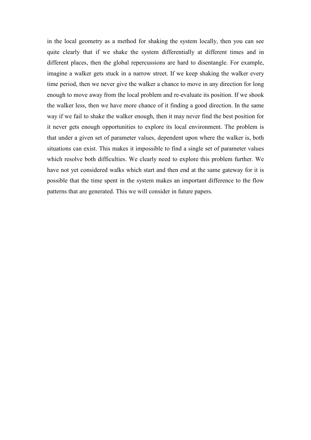in the local geometry as a method for shaking the system locally, then you can see quite clearly that if we shake the system differentially at different times and in different places, then the global repercussions are hard to disentangle. For example, imagine a walker gets stuck in a narrow street. If we keep shaking the walker every time period, then we never give the walker a chance to move in any direction for long enough to move away from the local problem and re-evaluate its position. If we shook the walker less, then we have more chance of it finding a good direction. In the same way if we fail to shake the walker enough, then it may never find the best position for it never gets enough opportunities to explore its local environment. The problem is that under a given set of parameter values, dependent upon where the walker is, both situations can exist. This makes it impossible to find a single set of parameter values which resolve both difficulties. We clearly need to explore this problem further. We have not yet considered walks which start and then end at the same gateway for it is possible that the time spent in the system makes an important difference to the flow patterns that are generated. This we will consider in future papers.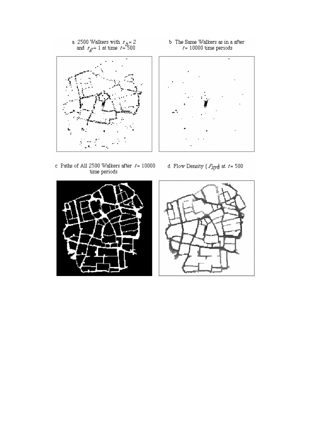

d Flow Density  $\{P_{\!\mathit{XY\!d}}\}$  at  $\sqrt{t}=500$ 

% c Paths of All 2500 Walkers after  $\it \ell \rm = 10000$  time periods

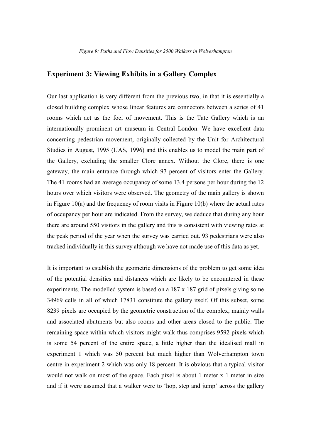## Experiment 3: Viewing Exhibits in a Gallery Complex

Our last application is very different from the previous two, in that it is essentially a closed building complex whose linear features are connectors between a series of 41 rooms which act as the foci of movement. This is the Tate Gallery which is an internationally prominent art museum in Central London. We have excellent data concerning pedestrian movement, originally collected by the Unit for Architectural Studies in August, 1995 (UAS, 1996) and this enables us to model the main part of the Gallery, excluding the smaller Clore annex. Without the Clore, there is one gateway, the main entrance through which 97 percent of visitors enter the Gallery. The 41 rooms had an average occupancy of some 13.4 persons per hour during the 12 hours over which visitors were observed. The geometry of the main gallery is shown in Figure  $10(a)$  and the frequency of room visits in Figure  $10(b)$  where the actual rates of occupancy per hour are indicated. From the survey, we deduce that during any hour there are around 550 visitors in the gallery and this is consistent with viewing rates at the peak period of the year when the survey was carried out. 93 pedestrians were also tracked individually in this survey although we have not made use of this data as yet.

It is important to establish the geometric dimensions of the problem to get some idea of the potential densities and distances which are likely to be encountered in these experiments. The modelled system is based on a 187 x 187 grid of pixels giving some 34969 cells in all of which 17831 constitute the gallery itself. Of this subset, some 8239 pixels are occupied by the geometric construction of the complex, mainly walls and associated abutments but also rooms and other areas closed to the public. The remaining space within which visitors might walk thus comprises 9592 pixels which is some 54 percent of the entire space, a little higher than the idealised mall in experiment 1 which was 50 percent but much higher than Wolverhampton town centre in experiment 2 which was only 18 percent. It is obvious that a typical visitor would not walk on most of the space. Each pixel is about 1 meter  $x$  1 meter in size and if it were assumed that a walker were to 'hop, step and jump' across the gallery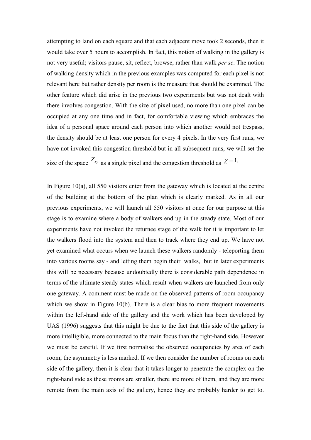attempting to land on each square and that each adjacent move took 2 seconds, then it would take over 5 hours to accomplish. In fact, this notion of walking in the gallery is not very useful; visitors pause, sit, reflect, browse, rather than walk per se. The notion of walking density which in the previous examples was computed for each pixel is not relevant here but rather density per room is the measure that should be examined. The other feature which did arise in the previous two experiments but was not dealt with there involves congestion. With the size of pixel used, no more than one pixel can be occupied at any one time and in fact, for comfortable viewing which embraces the idea of a personal space around each person into which another would not trespass, the density should be at least one person for every 4 pixels. In the very first runs, we have not invoked this congestion threshold but in all subsequent runs, we will set the size of the space  $Z_{xy}$  as a single pixel and the congestion threshold as  $\chi = 1$ .

In Figure 10(a), all 550 visitors enter from the gateway which is located at the centre of the building at the bottom of the plan which is clearly marked. As in all our previous experiments, we will launch all 550 visitors at once for our purpose at this stage is to examine where a body of walkers end up in the steady state. Most of our experiments have not invoked the returnee stage of the walk for it is important to let the walkers flood into the system and then to track where they end up. We have not yet examined what occurs when we launch these walkers randomly - teleporting them into various rooms say - and letting them begin their walks, but in later experiments this will be necessary because undoubtedly there is considerable path dependence in terms of the ultimate steady states which result when walkers are launched from only one gateway. A comment must be made on the observed patterns of room occupancy which we show in Figure 10(b). There is a clear bias to more frequent movements within the left-hand side of the gallery and the work which has been developed by UAS (1996) suggests that this might be due to the fact that this side of the gallery is more intelligible, more connected to the main focus than the right-hand side, However we must be careful. If we first normalise the observed occupancies by area of each room, the asymmetry is less marked. If we then consider the number of rooms on each side of the gallery, then it is clear that it takes longer to penetrate the complex on the right-hand side as these rooms are smaller, there are more of them, and they are more remote from the main axis of the gallery, hence they are probably harder to get to.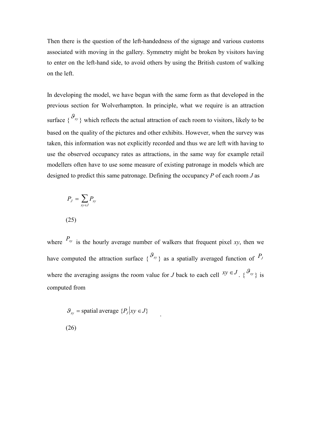Then there is the question of the left-handedness of the signage and various customs associated with moving in the gallery. Symmetry might be broken by visitors having to enter on the left-hand side, to avoid others by using the British custom of walking on the left.

In developing the model, we have begun with the same form as that developed in the previous section for Wolverhampton. In principle, what we require is an attraction surface  $\{^{\mathcal{G}_{xy}}\}$  which reflects the actual attraction of each room to visitors, likely to be based on the quality of the pictures and other exhibits. However, when the survey was taken, this information was not explicitly recorded and thus we are left with having to use the observed occupancy rates as attractions, in the same way for example retail modellers often have to use some measure of existing patronage in models which are designed to predict this same patronage. Defining the occupancy  $P$  of each room  $J$  as

$$
P_J = \sum_{xy \in J} P_{xy}
$$
\n(25)

where  $P_{xy}$  is the hourly average number of walkers that frequent pixel xy, then we have computed the attraction surface  $\{ \mathcal{S}_w \}$  as a spatially averaged function of  $P_J$ where the averaging assigns the room value for J back to each cell  $xy \in J$ . {  $\mathcal{S}_{xy}$ } is computed from

.

$$
\mathcal{G}_{xy} = \text{spatial average } \{P_J | xy \in J\}
$$
\n(26)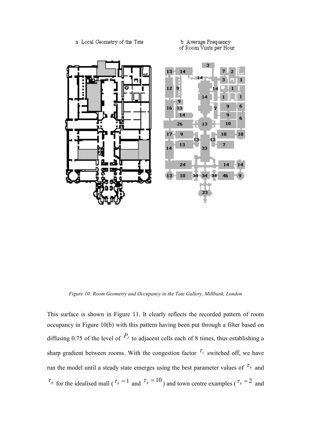

Figure 10: Room Geometry and Occupancy in the Tate Gallery, Millbank, London

This surface is shown in Figure 11. It clearly reflects the recorded pattern of room occupancy in Figure 10(b) with this pattern having been put through a filter based on diffusing 0.75 of the level of  $P_J$  to adjacent cells each of 8 times, thus establishing a sharp gradient between rooms. With the congestion factor  $\tau_c$  switched off, we have run the model until a steady state emerges using the best parameter values of  $\tau_b$  and  $\tau_g$  for the idealised mall ( $\tau_b = 1$  and  $\tau_g = 10$ ) and town centre examples ( $\tau_b = 2$  and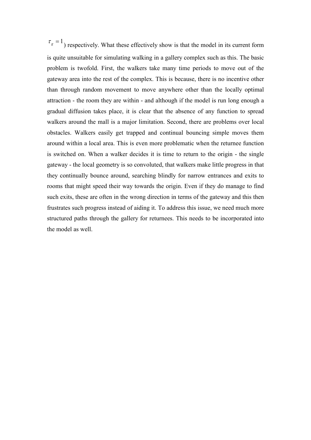$\tau_g = 1$ ) respectively. What these effectively show is that the model in its current form is quite unsuitable for simulating walking in a gallery complex such as this. The basic problem is twofold. First, the walkers take many time periods to move out of the gateway area into the rest of the complex. This is because, there is no incentive other than through random movement to move anywhere other than the locally optimal attraction - the room they are within - and although if the model is run long enough a gradual diffusion takes place, it is clear that the absence of any function to spread walkers around the mall is a major limitation. Second, there are problems over local obstacles. Walkers easily get trapped and continual bouncing simple moves them around within a local area. This is even more problematic when the returnee function is switched on. When a walker decides it is time to return to the origin - the single gateway - the local geometry is so convoluted, that walkers make little progress in that they continually bounce around, searching blindly for narrow entrances and exits to rooms that might speed their way towards the origin. Even if they do manage to find such exits, these are often in the wrong direction in terms of the gateway and this then frustrates such progress instead of aiding it. To address this issue, we need much more structured paths through the gallery for returnees. This needs to be incorporated into the model as well.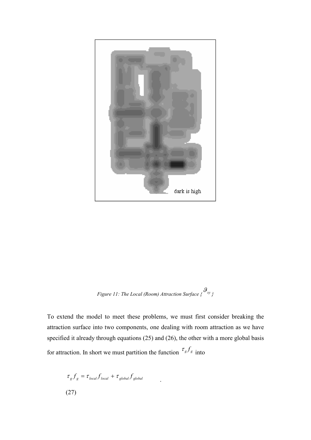

Figure 11: The Local (Room) Attraction Surface {  $\mathcal{S}_{xy}$  }

To extend the model to meet these problems, we must first consider breaking the attraction surface into two components, one dealing with room attraction as we have specified it already through equations (25) and (26), the other with a more global basis for attraction. In short we must partition the function  $\tau_g f_g$  into

.

$$
\tau_g f_g = \tau_{local} f_{local} + \tau_{global} f_{global}
$$
\n(27)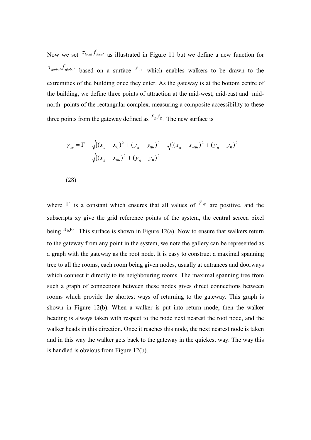Now we set  $\tau_{local} f_{local}$  as illustrated in Figure 11 but we define a new function for  $\tau_{global} f_{global}$  based on a surface  $\chi$ <sup>y</sup> which enables walkers to be drawn to the extremities of the building once they enter. As the gateway is at the bottom centre of the building, we define three points of attraction at the mid-west, mid-east and midnorth points of the rectangular complex, measuring a composite accessibility to these three points from the gateway defined as  $x_g y_g$ . The new surface is

$$
\gamma_{xy} = \Gamma - \sqrt{\left[ (x_g - x_0)^2 + (y_g - y_{86})^2 \right]} - \sqrt{\left[ (x_g - x_{-86})^2 + (y_g - y_0)^2 \right]}
$$
  
-  $\sqrt{\left[ (x_g - x_{86})^2 + (y_g - y_0)^2 \right]}$   
(28)

where  $\Gamma$  is a constant which ensures that all values of  $\gamma_{xy}$  are positive, and the subscripts xy give the grid reference points of the system, the central screen pixel being  $x_0 y_0$ . This surface is shown in Figure 12(a). Now to ensure that walkers return to the gateway from any point in the system, we note the gallery can be represented as a graph with the gateway as the root node. It is easy to construct a maximal spanning tree to all the rooms, each room being given nodes, usually at entrances and doorways which connect it directly to its neighbouring rooms. The maximal spanning tree from such a graph of connections between these nodes gives direct connections between rooms which provide the shortest ways of returning to the gateway. This graph is shown in Figure 12(b). When a walker is put into return mode, then the walker heading is always taken with respect to the node next nearest the root node, and the walker heads in this direction. Once it reaches this node, the next nearest node is taken and in this way the walker gets back to the gateway in the quickest way. The way this is handled is obvious from Figure 12(b).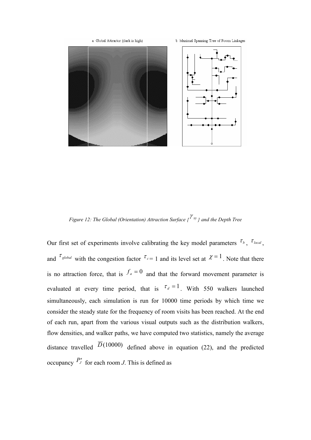

Figure 12: The Global (Orientation) Attraction Surface {  $\gamma_{xy}$  } and the Depth Tree

Our first set of experiments involve calibrating the key model parameters  $^{\tau_{b}}$ ,  $^{\tau_{local}}$ , and  $\tau_{global}$  with the congestion factor  $\tau_{c=1}$  and its level set at  $\chi=1$ . Note that there is no attraction force, that is  $f_a = 0$  and that the forward movement parameter is evaluated at every time period, that is  $\tau_d = 1$ . With 550 walkers launched simultaneously, each simulation is run for 10000 time periods by which time we consider the steady state for the frequency of room visits has been reached. At the end of each run, apart from the various visual outputs such as the distribution walkers, flow densities, and walker paths, we have computed two statistics, namely the average distance travelled  $\overline{D}$ (10000) defined above in equation (22), and the predicted occupancy  $P'_J$  for each room J. This is defined as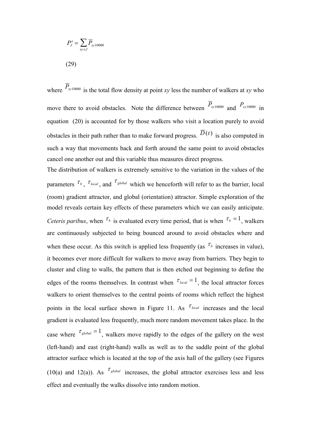$$
P'_{J} = \sum_{xy \in J} \overline{P}_{xy10000}
$$
\n
$$
(29)
$$

where  $\overline{P}_{xy10000}$  is the total flow density at point xy less the number of walkers at xy who move there to avoid obstacles. Note the difference between  $\overline{P}_{xy10000}$  and  $P_{xy10000}$  in equation (20) is accounted for by those walkers who visit a location purely to avoid obstacles in their path rather than to make forward progress.  $\overline{D}(t)$  is also computed in such a way that movements back and forth around the same point to avoid obstacles cancel one another out and this variable thus measures direct progress.

The distribution of walkers is extremely sensitive to the variation in the values of the parameters  $\tau_{b}$ ,  $\tau_{local}$ , and  $\tau_{global}$  which we henceforth will refer to as the barrier, local (room) gradient attractor, and global (orientation) attractor. Simple exploration of the model reveals certain key effects of these parameters which we can easily anticipate. Ceteris paribus, when  $\tau_b$  is evaluated every time period, that is when  $\tau_b = 1$ , walkers are continuously subjected to being bounced around to avoid obstacles where and when these occur. As this switch is applied less frequently (as  $\tau_b$  increases in value), it becomes ever more difficult for walkers to move away from barriers. They begin to cluster and cling to walls, the pattern that is then etched out beginning to define the edges of the rooms themselves. In contrast when  $\tau_{local} = 1$ , the local attractor forces walkers to orient themselves to the central points of rooms which reflect the highest points in the local surface shown in Figure 11. As  $\tau_{local}$  increases and the local gradient is evaluated less frequently, much more random movement takes place. In the case where  $\tau_{global} = 1$ , walkers move rapidly to the edges of the gallery on the west (left-hand) and east (right-hand) walls as well as to the saddle point of the global attractor surface which is located at the top of the axis hall of the gallery (see Figures (10(a) and 12(a)). As  $\tau_{global}$  increases, the global attractor exercises less and less effect and eventually the walks dissolve into random motion.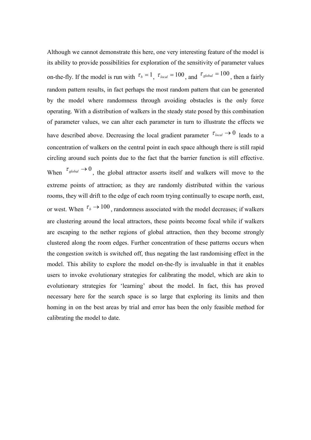Although we cannot demonstrate this here, one very interesting feature of the model is its ability to provide possibilities for exploration of the sensitivity of parameter values on-the-fly. If the model is run with  $\tau_b = 1$ ,  $\tau_{local} = 100$ , and  $\tau_{global} = 100$ , then a fairly random pattern results, in fact perhaps the most random pattern that can be generated by the model where randomness through avoiding obstacles is the only force operating. With a distribution of walkers in the steady state posed by this combination of parameter values, we can alter each parameter in turn to illustrate the effects we have described above. Decreasing the local gradient parameter  $\tau_{local} \rightarrow 0$  leads to a concentration of walkers on the central point in each space although there is still rapid circling around such points due to the fact that the barrier function is still effective. When  $\tau_{global} \rightarrow 0$ , the global attractor asserts itself and walkers will move to the extreme points of attraction; as they are randomly distributed within the various rooms, they will drift to the edge of each room trying continually to escape north, east, or west. When  $\tau_b \rightarrow 100$ , randomness associated with the model decreases; if walkers are clustering around the local attractors, these points become focal while if walkers are escaping to the nether regions of global attraction, then they become strongly clustered along the room edges. Further concentration of these patterns occurs when the congestion switch is switched off, thus negating the last randomising effect in the model. This ability to explore the model on-the-fly is invaluable in that it enables users to invoke evolutionary strategies for calibrating the model, which are akin to evolutionary strategies for 'learning' about the model. In fact, this has proved necessary here for the search space is so large that exploring its limits and then homing in on the best areas by trial and error has been the only feasible method for calibrating the model to date.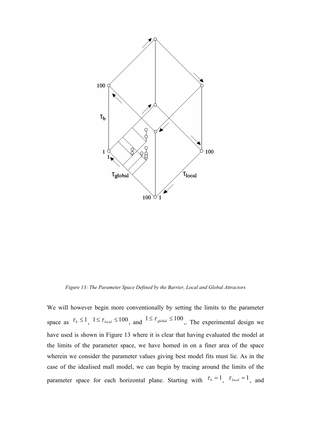

Figure 13: The Parameter Space Defined by the Barrier, Local and Global Attractors

We will however begin more conventionally by setting the limits to the parameter space as  $\tau_b \le 1$ ,  $1 \le \tau_{local} \le 100$ , and  $1 \le \tau_{global} \le 100$ , The experimental design we have used is shown in Figure 13 where it is clear that having evaluated the model at the limits of the parameter space, we have homed in on a finer area of the space wherein we consider the parameter values giving best model fits must lie. As in the case of the idealised mall model, we can begin by tracing around the limits of the parameter space for each horizontal plane. Starting with  $\tau_b = 1$ ,  $\tau_{local} = 1$ , and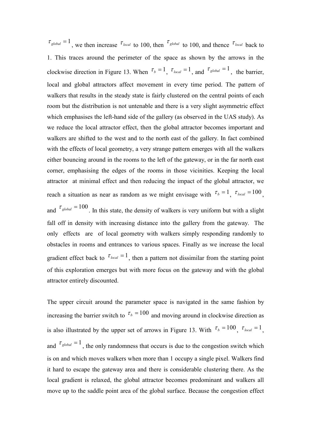$\tau_{global} = 1$ , we then increase  $\tau_{local}$  to 100, then  $\tau_{global}$  to 100, and thence  $\tau_{local}$  back to 1. This traces around the perimeter of the space as shown by the arrows in the clockwise direction in Figure 13. When  $\tau_b = 1$ ,  $\tau_{local} = 1$ , and  $\tau_{global} = 1$ , the barrier, local and global attractors affect movement in every time period. The pattern of walkers that results in the steady state is fairly clustered on the central points of each room but the distribution is not untenable and there is a very slight asymmetric effect which emphasises the left-hand side of the gallery (as observed in the UAS study). As we reduce the local attractor effect, then the global attractor becomes important and walkers are shifted to the west and to the north east of the gallery. In fact combined with the effects of local geometry, a very strange pattern emerges with all the walkers either bouncing around in the rooms to the left of the gateway, or in the far north east corner, emphasising the edges of the rooms in those vicinities. Keeping the local attractor at minimal effect and then reducing the impact of the global attractor, we reach a situation as near as random as we might envisage with  $\tau_b = 1$ ,  $\tau_{local} = 100$ , and  $\tau_{global} = 100$ . In this state, the density of walkers is very uniform but with a slight fall off in density with increasing distance into the gallery from the gateway. The only effects are of local geometry with walkers simply responding randomly to obstacles in rooms and entrances to various spaces. Finally as we increase the local gradient effect back to  $\tau_{local} = 1$ , then a pattern not dissimilar from the starting point of this exploration emerges but with more focus on the gateway and with the global attractor entirely discounted.

The upper circuit around the parameter space is navigated in the same fashion by increasing the barrier switch to  $\tau_b = 100$  and moving around in clockwise direction as is also illustrated by the upper set of arrows in Figure 13. With  $\tau_b = 100$ ,  $\tau_{local} = 1$ , and  $\tau_{global} = 1$ , the only randomness that occurs is due to the congestion switch which is on and which moves walkers when more than 1 occupy a single pixel. Walkers find it hard to escape the gateway area and there is considerable clustering there. As the local gradient is relaxed, the global attractor becomes predominant and walkers all move up to the saddle point area of the global surface. Because the congestion effect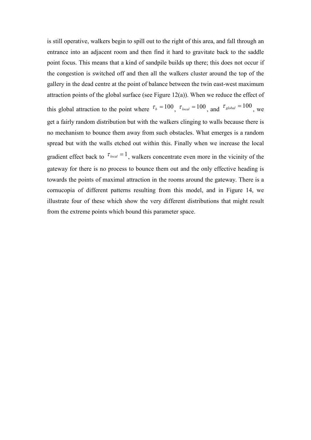is still operative, walkers begin to spill out to the right of this area, and fall through an entrance into an adjacent room and then find it hard to gravitate back to the saddle point focus. This means that a kind of sandpile builds up there; this does not occur if the congestion is switched off and then all the walkers cluster around the top of the gallery in the dead centre at the point of balance between the twin east-west maximum attraction points of the global surface (see Figure 12(a)). When we reduce the effect of this global attraction to the point where  $\tau_b = 100$ ,  $\tau_{local} = 100$ , and  $\tau_{global} = 100$ , we get a fairly random distribution but with the walkers clinging to walls because there is no mechanism to bounce them away from such obstacles. What emerges is a random spread but with the walls etched out within this. Finally when we increase the local gradient effect back to  $\tau_{local} = 1$ , walkers concentrate even more in the vicinity of the gateway for there is no process to bounce them out and the only effective heading is towards the points of maximal attraction in the rooms around the gateway. There is a cornucopia of different patterns resulting from this model, and in Figure 14, we illustrate four of these which show the very different distributions that might result from the extreme points which bound this parameter space.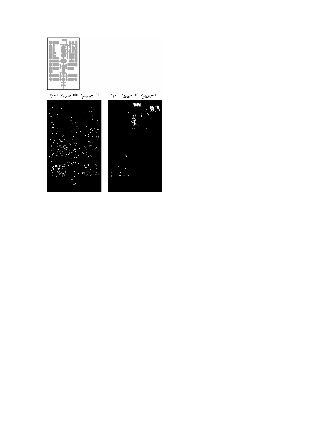| l<br>٠<br>٠ |
|-------------|
|-------------|

| ٠<br>u,                                                                                           |
|---------------------------------------------------------------------------------------------------|
| Ŋ<br><b>Re</b>                                                                                    |
| Ì<br>$\mathcal{O}(\mathbb{R}^d)$<br>$\hat{f}(\hat{x}^{(i)})$                                      |
| <b>Septe</b><br>M.<br>$\mathcal{L}_{\mathcal{A}}$<br>٠<br>$\mathcal{L}_{\mathcal{A}}$             |
| N<br>霧<br>$\mathbb{Z}^n$                                                                          |
| 鸚<br>Ŧ<br>÷,<br>$\sim$ 1<br>$\sim 10^{11}$ km s $^{-1}$<br>$\mathcal{P}^{(1)}_{\text{max}}$<br>r. |
| ý vo                                                                                              |

 $r_{\delta}$  = 1  $\;$   $r_{\text{local}}$  = 100  $\;$   $r_{\text{global}}$  = 1

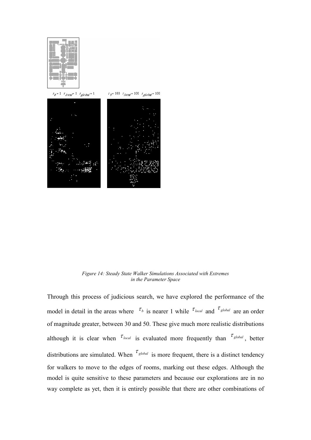

 $r_{\tilde{D}}=1-r_{f\circ c\cdot a}=-r_{g\circ c\cdot b\cdot a'}=1$ 





Figure 14: Steady State Walker Simulations Associated with Extremes in the Parameter Space

Through this process of judicious search, we have explored the performance of the model in detail in the areas where  $\tau_{b}$  is nearer 1 while  $\tau_{local}$  and  $\tau_{global}$  are an order of magnitude greater, between 30 and 50. These give much more realistic distributions although it is clear when  $\tau_{local}$  is evaluated more frequently than  $\tau_{global}$ , better distributions are simulated. When  $\tau_{global}$  is more frequent, there is a distinct tendency for walkers to move to the edges of rooms, marking out these edges. Although the model is quite sensitive to these parameters and because our explorations are in no way complete as yet, then it is entirely possible that there are other combinations of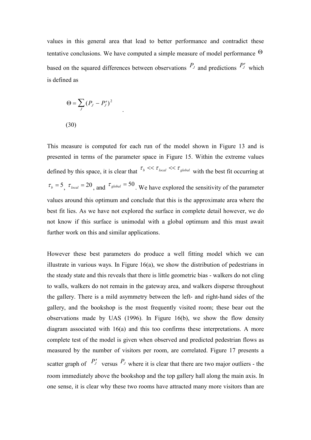values in this general area that lead to better performance and contradict these tentative conclusions. We have computed a simple measure of model performance  $\Theta$ based on the squared differences between observations  $P_J$  and predictions  $P_J$  which is defined as

$$
\Theta = \sum_{J} (P_J - P'_J)^2
$$
\n(30)

.

This measure is computed for each run of the model shown in Figure 13 and is presented in terms of the parameter space in Figure 15. Within the extreme values defined by this space, it is clear that  $\tau_b \ll \tau_{local} \ll \tau_{global}$  with the best fit occurring at  $\tau_b = 5$ ,  $\tau_{local} = 20$ , and  $\tau_{global} = 50$ . We have explored the sensitivity of the parameter values around this optimum and conclude that this is the approximate area where the best fit lies. As we have not explored the surface in complete detail however, we do not know if this surface is unimodal with a global optimum and this must await further work on this and similar applications.

However these best parameters do produce a well fitting model which we can illustrate in various ways. In Figure 16(a), we show the distribution of pedestrians in the steady state and this reveals that there is little geometric bias - walkers do not cling to walls, walkers do not remain in the gateway area, and walkers disperse throughout the gallery. There is a mild asymmetry between the left- and right-hand sides of the gallery, and the bookshop is the most frequently visited room; these bear out the observations made by UAS (1996). In Figure 16(b), we show the flow density diagram associated with 16(a) and this too confirms these interpretations. A more complete test of the model is given when observed and predicted pedestrian flows as measured by the number of visitors per room, are correlated. Figure 17 presents a scatter graph of  $P'_J$  versus  $P_J$  where it is clear that there are two major outliers - the room immediately above the bookshop and the top gallery hall along the main axis. In one sense, it is clear why these two rooms have attracted many more visitors than are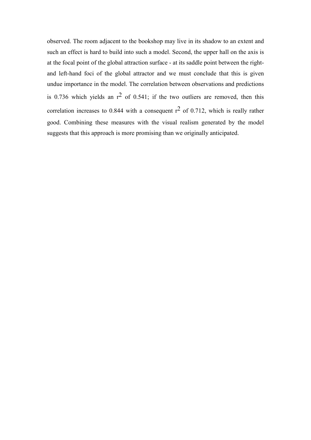observed. The room adjacent to the bookshop may live in its shadow to an extent and such an effect is hard to build into such a model. Second, the upper hall on the axis is at the focal point of the global attraction surface - at its saddle point between the rightand left-hand foci of the global attractor and we must conclude that this is given undue importance in the model. The correlation between observations and predictions is 0.736 which yields an  $r^2$  of 0.541; if the two outliers are removed, then this correlation increases to 0.844 with a consequent  $r^2$  of 0.712, which is really rather good. Combining these measures with the visual realism generated by the model suggests that this approach is more promising than we originally anticipated.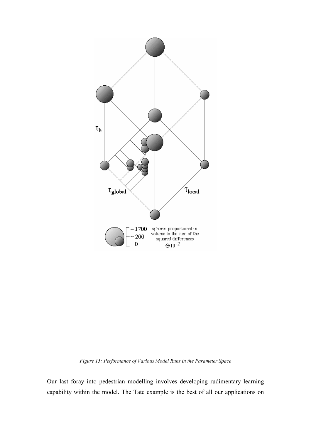

Figure 15: Performance of Various Model Runs in the Parameter Space

Our last foray into pedestrian modelling involves developing rudimentary learning capability within the model. The Tate example is the best of all our applications on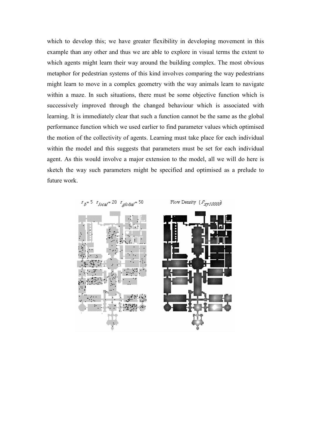which to develop this; we have greater flexibility in developing movement in this example than any other and thus we are able to explore in visual terms the extent to which agents might learn their way around the building complex. The most obvious metaphor for pedestrian systems of this kind involves comparing the way pedestrians might learn to move in a complex geometry with the way animals learn to navigate within a maze. In such situations, there must be some objective function which is successively improved through the changed behaviour which is associated with learning. It is immediately clear that such a function cannot be the same as the global performance function which we used earlier to find parameter values which optimised the motion of the collectivity of agents. Learning must take place for each individual within the model and this suggests that parameters must be set for each individual agent. As this would involve a major extension to the model, all we will do here is sketch the way such parameters might be specified and optimised as a prelude to future work.

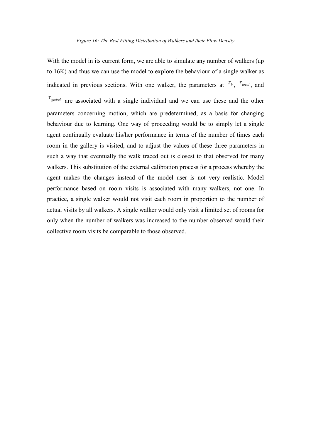## Figure 16: The Best Fitting Distribution of Walkers and their Flow Density

With the model in its current form, we are able to simulate any number of walkers (up) to 16K) and thus we can use the model to explore the behaviour of a single walker as indicated in previous sections. With one walker, the parameters at  $\tau_{b}$ ,  $\tau_{local}$ , and  $\tau_{global}$  are associated with a single individual and we can use these and the other parameters concerning motion, which are predetermined, as a basis for changing behaviour due to learning. One way of proceeding would be to simply let a single agent continually evaluate his/her performance in terms of the number of times each room in the gallery is visited, and to adjust the values of these three parameters in such a way that eventually the walk traced out is closest to that observed for many walkers. This substitution of the external calibration process for a process whereby the agent makes the changes instead of the model user is not very realistic. Model performance based on room visits is associated with many walkers, not one. In practice, a single walker would not visit each room in proportion to the number of actual visits by all walkers. A single walker would only visit a limited set of rooms for only when the number of walkers was increased to the number observed would their collective room visits be comparable to those observed.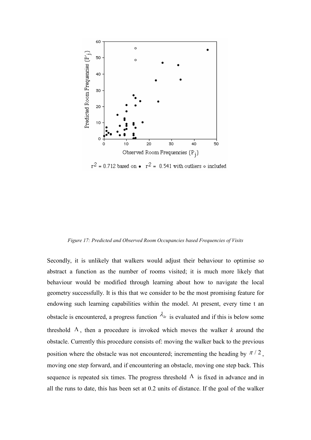

 $r^2 = 0.712$  based on •  $r^2 = 0.541$  with outliers  $\circ$  included

Figure 17: Predicted and Observed Room Occupancies based Frequencies of Visits

Secondly, it is unlikely that walkers would adjust their behaviour to optimise so abstract a function as the number of rooms visited; it is much more likely that behaviour would be modified through learning about how to navigate the local geometry successfully. It is this that we consider to be the most promising feature for endowing such learning capabilities within the model. At present, every time t an obstacle is encountered, a progress function  $\lambda_{kt}$  is evaluated and if this is below some threshold  $\Lambda$ , then a procedure is invoked which moves the walker k around the obstacle. Currently this procedure consists of: moving the walker back to the previous position where the obstacle was not encountered; incrementing the heading by  $\pi/2$ , moving one step forward, and if encountering an obstacle, moving one step back. This sequence is repeated six times. The progress threshold  $\Lambda$  is fixed in advance and in all the runs to date, this has been set at 0.2 units of distance. If the goal of the walker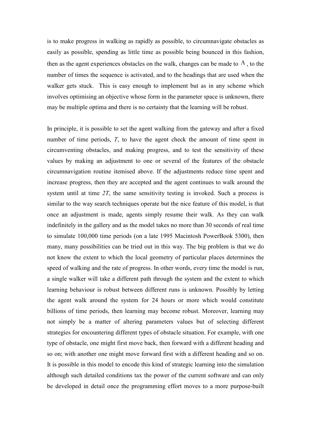is to make progress in walking as rapidly as possible, to circumnavigate obstacles as easily as possible, spending as little time as possible being bounced in this fashion, then as the agent experiences obstacles on the walk, changes can be made to  $\Lambda$ , to the number of times the sequence is activated, and to the headings that are used when the walker gets stuck. This is easy enough to implement but as in any scheme which involves optimising an objective whose form in the parameter space is unknown, there may be multiple optima and there is no certainty that the learning will be robust.

In principle, it is possible to set the agent walking from the gateway and after a fixed number of time periods, T, to have the agent check the amount of time spent in circumventing obstacles, and making progress, and to test the sensitivity of these values by making an adjustment to one or several of the features of the obstacle circumnavigation routine itemised above. If the adjustments reduce time spent and increase progress, then they are accepted and the agent continues to walk around the system until at time 2T, the same sensitivity testing is invoked. Such a process is similar to the way search techniques operate but the nice feature of this model, is that once an adjustment is made, agents simply resume their walk. As they can walk indefinitely in the gallery and as the model takes no more than 30 seconds of real time to simulate 100,000 time periods (on a late 1995 Macintosh PowerBook 5300), then many, many possibilities can be tried out in this way. The big problem is that we do not know the extent to which the local geometry of particular places determines the speed of walking and the rate of progress. In other words, every time the model is run, a single walker will take a different path through the system and the extent to which learning behaviour is robust between different runs is unknown. Possibly by letting the agent walk around the system for 24 hours or more which would constitute billions of time periods, then learning may become robust. Moreover, learning may not simply be a matter of altering parameters values but of selecting different strategies for encountering different types of obstacle situation. For example, with one type of obstacle, one might first move back, then forward with a different heading and so on; with another one might move forward first with a different heading and so on. It is possible in this model to encode this kind of strategic learning into the simulation although such detailed conditions tax the power of the current software and can only be developed in detail once the programming effort moves to a more purpose-built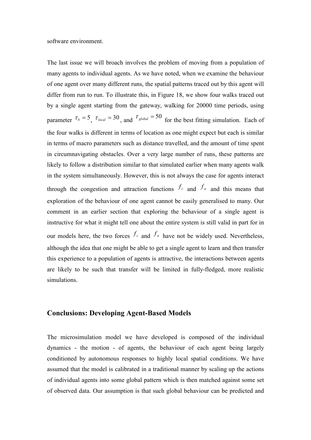software environment.

The last issue we will broach involves the problem of moving from a population of many agents to individual agents. As we have noted, when we examine the behaviour of one agent over many different runs, the spatial patterns traced out by this agent will differ from run to run. To illustrate this, in Figure 18, we show four walks traced out by a single agent starting from the gateway, walking for 20000 time periods, using parameter  $\tau_b = 5$ ,  $\tau_{local} = 30$ , and  $\tau_{global} = 50$  for the best fitting simulation. Each of the four walks is different in terms of location as one might expect but each is similar in terms of macro parameters such as distance travelled, and the amount of time spent in circumnavigating obstacles. Over a very large number of runs, these patterns are likely to follow a distribution similar to that simulated earlier when many agents walk in the system simultaneously. However, this is not always the case for agents interact through the congestion and attraction functions  $f_c$  and  $f_a$  and this means that exploration of the behaviour of one agent cannot be easily generalised to many. Our comment in an earlier section that exploring the behaviour of a single agent is instructive for what it might tell one about the entire system is still valid in part for in our models here, the two forces  $f_c$  and  $f_a$  have not be widely used. Nevertheless, although the idea that one might be able to get a single agent to learn and then transfer this experience to a population of agents is attractive, the interactions between agents are likely to be such that transfer will be limited in fully-fledged, more realistic simulations.

## Conclusions: Developing Agent-Based Models

The microsimulation model we have developed is composed of the individual dynamics - the motion - of agents, the behaviour of each agent being largely conditioned by autonomous responses to highly local spatial conditions. We have assumed that the model is calibrated in a traditional manner by scaling up the actions of individual agents into some global pattern which is then matched against some set of observed data. Our assumption is that such global behaviour can be predicted and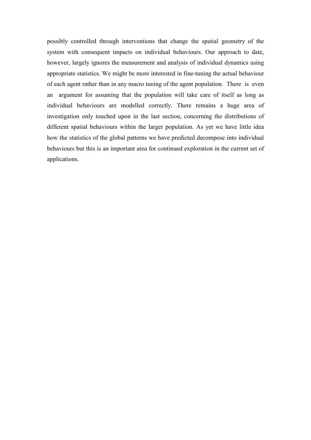possibly controlled through interventions that change the spatial geometry of the system with consequent impacts on individual behaviours. Our approach to date, however, largely ignores the measurement and analysis of individual dynamics using appropriate statistics. We might be more interested in fine-tuning the actual behaviour of each agent rather than in any macro tuning of the agent population. There is even an argument for assuming that the population will take care of itself as long as individual behaviours are modelled correctly. There remains a huge area of investigation only touched upon in the last section, concerning the distributions of different spatial behaviours within the larger population. As yet we have little idea how the statistics of the global patterns we have predicted decompose into individual behaviours but this is an important area for continued exploration in the current set of applications.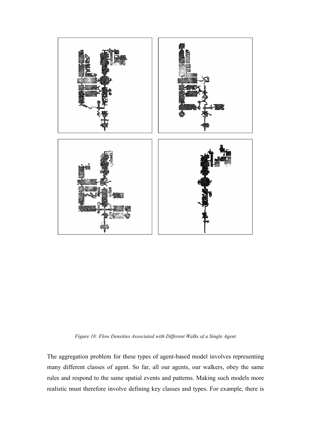

Figure 18: Flow Densities Associated with Different Walks of a Single Agent

The aggregation problem for these types of agent-based model involves representing many different classes of agent. So far, all our agents, our walkers, obey the same rules and respond to the same spatial events and patterns. Making such models more realistic must therefore involve defining key classes and types. For example, there is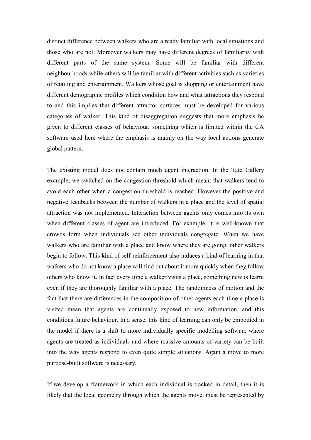distinct difference between walkers who are already familiar with local situations and those who are not. Moreover walkers may have different degrees of familiarity with different parts of the same system. Some will be familiar with different neighbourhoods while others will be familiar with different activities such as varieties of retailing and entertainment. Walkers whose goal is shopping or entertainment have different demographic profiles which condition how and what attractions they respond to and this implies that different attractor surfaces must be developed for various categories of walker. This kind of disaggregation suggests that more emphasis be given to different classes of behaviour, something which is limited within the CA software used here where the emphasis is mainly on the way local actions generate global pattern.

The existing model does not contain much agent interaction. In the Tate Gallery example, we switched on the congestion threshold which meant that walkers tend to avoid each other when a congestion threshold is reached. However the positive and negative feedbacks between the number of walkers in a place and the level of spatial attraction was not implemented. Interaction between agents only comes into its own when different classes of agent are introduced. For example, it is well-known that crowds form when individuals see other individuals congregate. When we have walkers who are familiar with a place and know where they are going, other walkers begin to follow. This kind of self-reinforcement also induces a kind of learning in that walkers who do not know a place will find out about it more quickly when they follow others who know it. In fact every time a walker visits a place, something new is learnt even if they are thoroughly familiar with a place. The randomness of motion and the fact that there are differences in the composition of other agents each time a place is visited mean that agents are continually exposed to new information, and this conditions future behaviour. In a sense, this kind of learning can only be embodied in the model if there is a shift to more individually specific modelling software where agents are treated as individuals and where massive amounts of variety can be built into the way agents respond to even quite simple situations. Again a move to more purpose-built software is necessary.

If we develop a framework in which each individual is tracked in detail, then it is likely that the local geometry through which the agents move, must be represented by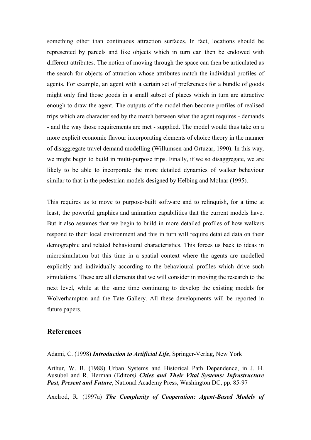something other than continuous attraction surfaces. In fact, locations should be represented by parcels and like objects which in turn can then be endowed with different attributes. The notion of moving through the space can then be articulated as the search for objects of attraction whose attributes match the individual profiles of agents. For example, an agent with a certain set of preferences for a bundle of goods might only find those goods in a small subset of places which in turn are attractive enough to draw the agent. The outputs of the model then become profiles of realised trips which are characterised by the match between what the agent requires - demands - and the way those requirements are met - supplied. The model would thus take on a more explicit economic flavour incorporating elements of choice theory in the manner of disaggregate travel demand modelling (Willumsen and Ortuzar, 1990). In this way, we might begin to build in multi-purpose trips. Finally, if we so disaggregate, we are likely to be able to incorporate the more detailed dynamics of walker behaviour similar to that in the pedestrian models designed by Helbing and Molnar (1995).

This requires us to move to purpose-built software and to relinquish, for a time at least, the powerful graphics and animation capabilities that the current models have. But it also assumes that we begin to build in more detailed profiles of how walkers respond to their local environment and this in turn will require detailed data on their demographic and related behavioural characteristics. This forces us back to ideas in microsimulation but this time in a spatial context where the agents are modelled explicitly and individually according to the behavioural profiles which drive such simulations. These are all elements that we will consider in moving the research to the next level, while at the same time continuing to develop the existing models for Wolverhampton and the Tate Gallery. All these developments will be reported in future papers.

## References

Adami, C. (1998) Introduction to Artificial Life, Springer-Verlag, New York

Arthur, W. B. (1988) Urban Systems and Historical Path Dependence, in J. H. Ausubel and R. Herman (Editors) Cities and Their Vital Systems: Infrastructure Past, Present and Future, National Academy Press, Washington DC, pp. 85-97

Axelrod, R. (1997a) The Complexity of Cooperation: Agent-Based Models of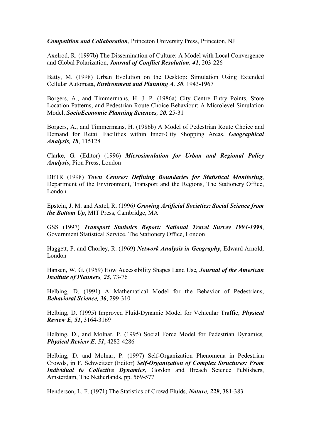Competition and Collaboration, Princeton University Press, Princeton, NJ

Axelrod, R. (1997b) The Dissemination of Culture: A Model with Local Convergence and Global Polarization, Journal of Conflict Resolution, 41, 203-226

Batty, M. (1998) Urban Evolution on the Desktop: Simulation Using Extended Cellular Automata, Environment and Planning A, 30, 1943-1967

Borgers, A., and Timmermans, H. J. P. (1986a) City Centre Entry Points, Store Location Patterns, and Pedestrian Route Choice Behaviour: A Microlevel Simulation Model, SocioEconomic Planning Sciences, 20, 25-31

Borgers, A., and Timmermans, H. (1986b) A Model of Pedestrian Route Choice and Demand for Retail Facilities within Inner-City Shopping Areas, Geographical Analysis, 18, 115128

Clarke, G. (Editor) (1996) Microsimulation for Urban and Regional Policy Analysis, Pion Press, London

DETR (1998) Town Centres: Defining Boundaries for Statistical Monitoring, Department of the Environment, Transport and the Regions, The Stationery Office, London

Epstein, J. M. and Axtel, R. (1996) Growing Artificial Societies: Social Science from the Bottom Up, MIT Press, Cambridge, MA

GSS (1997) Transport Statistics Report: National Travel Survey 1994-1996, Government Statistical Service, The Stationery Office, London

Haggett, P. and Chorley, R. (1969) Network Analysis in Geography, Edward Arnold, London

Hansen, W. G. (1959) How Accessibility Shapes Land Use, *Journal of the American* Institute of Planners, 25, 73-76

Helbing, D. (1991) A Mathematical Model for the Behavior of Pedestrians, Behavioral Science, 36, 299-310

Helbing, D. (1995) Improved Fluid-Dynamic Model for Vehicular Traffic, *Physical* Review E, 51, 3164-3169

Helbing, D., and Molnar, P. (1995) Social Force Model for Pedestrian Dynamics, Physical Review E, 51, 4282-4286

Helbing, D. and Molnar, P. (1997) Self-Organization Phenomena in Pedestrian Crowds, in F. Schweitzer (Editor) Self-Organization of Complex Structures: From Individual to Collective Dynamics, Gordon and Breach Science Publishers, Amsterdam, The Netherlands, pp. 569-577

Henderson, L. F. (1971) The Statistics of Crowd Fluids, Nature, 229, 381-383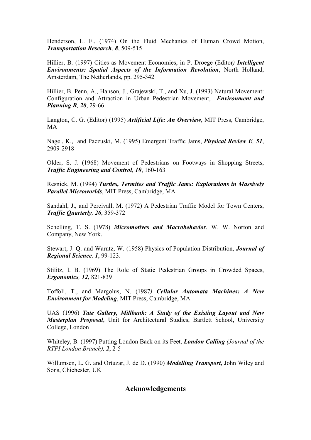Henderson, L. F., (1974) On the Fluid Mechanics of Human Crowd Motion, Transportation Research, 8, 509-515

Hillier, B. (1997) Cities as Movement Economies, in P. Droege (Editor) *Intelligent* Environments: Spatial Aspects of the Information Revolution, North Holland, Amsterdam, The Netherlands, pp. 295-342

Hillier, B. Penn, A., Hanson, J., Grajewski, T., and Xu, J. (1993) Natural Movement: Configuration and Attraction in Urban Pedestrian Movement, Environment and Planning B, 20, 29-66

Langton, C. G. (Editor) (1995) Artificial Life: An Overview, MIT Press, Cambridge, MA

Nagel, K., and Paczuski, M. (1995) Emergent Traffic Jams, *Physical Review E, 51*, 2909-2918

Older, S. J. (1968) Movement of Pedestrians on Footways in Shopping Streets, Traffic Engineering and Control, 10, 160-163

Resnick, M. (1994) Turtles, Termites and Traffic Jams: Explorations in Massively Parallel Microworlds, MIT Press, Cambridge, MA

Sandahl, J., and Percivall, M. (1972) A Pedestrian Traffic Model for Town Centers, Traffic Quarterly, 26, 359-372

Schelling, T. S. (1978) Micromotives and Macrobehavior, W. W. Norton and Company, New York.

Stewart, J. Q. and Warntz, W. (1958) Physics of Population Distribution, **Journal of** Regional Science, 1, 99-123.

Stilitz, I. B. (1969) The Role of Static Pedestrian Groups in Crowded Spaces, Ergonomics, 12, 821-839

Toffoli, T., and Margolus, N. (1987) Cellular Automata Machines: A New Environment for Modeling, MIT Press, Cambridge, MA

UAS (1996) Tate Gallery, Millbank: A Study of the Existing Layout and New Masterplan Proposal, Unit for Architectural Studies, Bartlett School, University College, London

Whiteley, B. (1997) Putting London Back on its Feet, *London Calling (Journal of the* RTPI London Branch), 2, 2-5

Willumsen, L. G. and Ortuzar, J. de D. (1990) *Modelling Transport*, John Wiley and Sons, Chichester, UK

## Acknowledgements